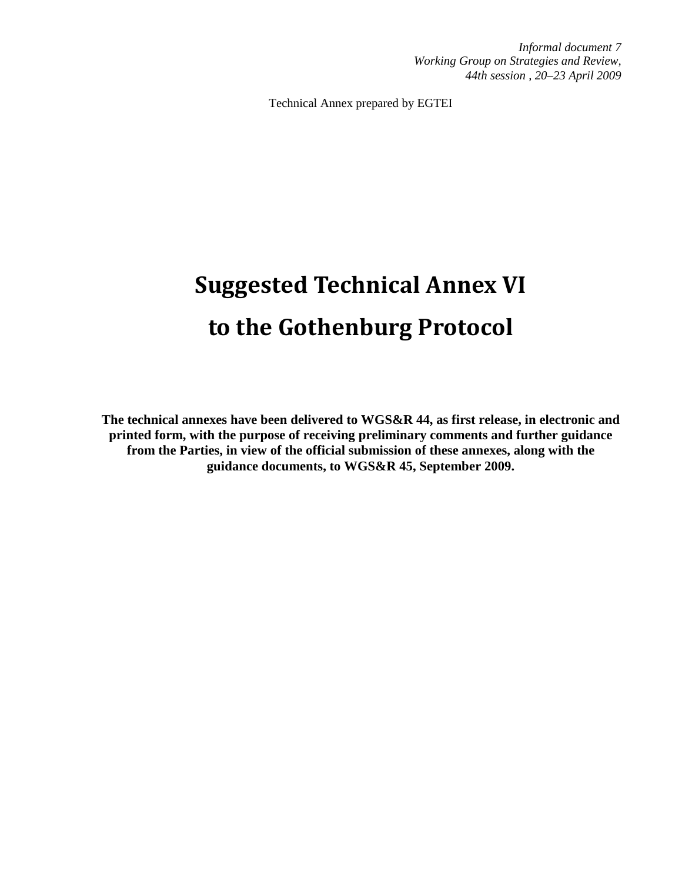*Informal document 7 Working Group on Strategies and Review, 44th session , 20–23 April 2009* 

Technical Annex prepared by EGTEI

# Suggested Technical Annex VI to the Gothenburg Protocol

**The technical annexes have been delivered to WGS&R 44, as first release, in electronic and printed form, with the purpose of receiving preliminary comments and further guidance from the Parties, in view of the official submission of these annexes, along with the guidance documents, to WGS&R 45, September 2009.**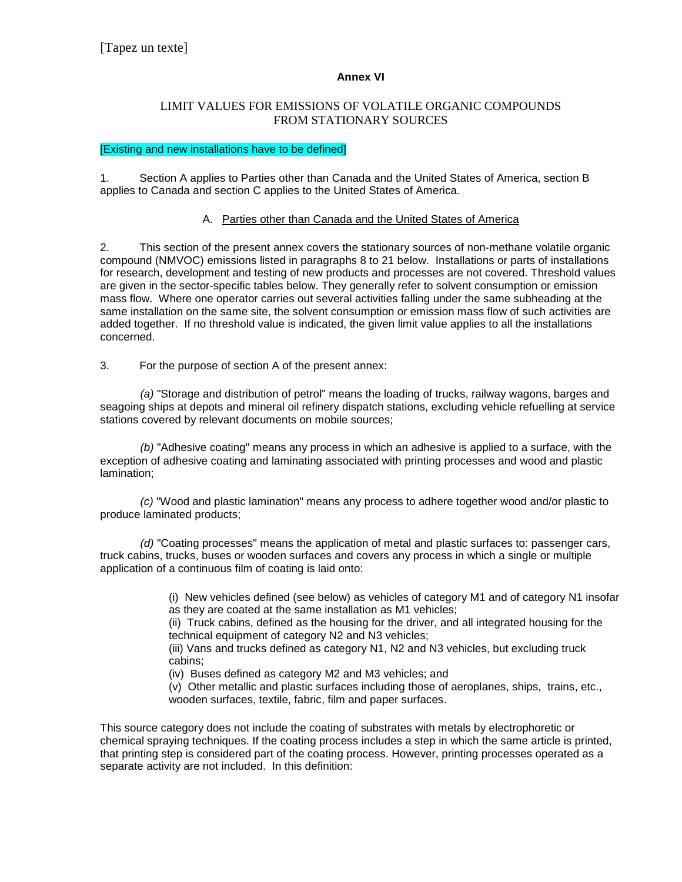# **Annex VI**

# LIMIT VALUES FOR EMISSIONS OF VOLATILE ORGANIC COMPOUNDS FROM STATIONARY SOURCES

#### [Existing and new installations have to be defined]

1. Section A applies to Parties other than Canada and the United States of America, section B applies to Canada and section C applies to the United States of America.

## A. Parties other than Canada and the United States of America

2. This section of the present annex covers the stationary sources of non-methane volatile organic compound (NMVOC) emissions listed in paragraphs 8 to 21 below. Installations or parts of installations for research, development and testing of new products and processes are not covered. Threshold values are given in the sector-specific tables below. They generally refer to solvent consumption or emission mass flow. Where one operator carries out several activities falling under the same subheading at the same installation on the same site, the solvent consumption or emission mass flow of such activities are added together. If no threshold value is indicated, the given limit value applies to all the installations concerned.

3. For the purpose of section A of the present annex:

(a) "Storage and distribution of petrol" means the loading of trucks, railway wagons, barges and seagoing ships at depots and mineral oil refinery dispatch stations, excluding vehicle refuelling at service stations covered by relevant documents on mobile sources;

(b) "Adhesive coating" means any process in which an adhesive is applied to a surface, with the exception of adhesive coating and laminating associated with printing processes and wood and plastic lamination;

(c) "Wood and plastic lamination" means any process to adhere together wood and/or plastic to produce laminated products;

(d) "Coating processes" means the application of metal and plastic surfaces to: passenger cars, truck cabins, trucks, buses or wooden surfaces and covers any process in which a single or multiple application of a continuous film of coating is laid onto:

> (i) New vehicles defined (see below) as vehicles of category M1 and of category N1 insofar as they are coated at the same installation as M1 vehicles;

(ii) Truck cabins, defined as the housing for the driver, and all integrated housing for the technical equipment of category N2 and N3 vehicles;

(iii) Vans and trucks defined as category N1, N2 and N3 vehicles, but excluding truck cabins;

(iv) Buses defined as category M2 and M3 vehicles; and

(v) Other metallic and plastic surfaces including those of aeroplanes, ships, trains, etc., wooden surfaces, textile, fabric, film and paper surfaces.

This source category does not include the coating of substrates with metals by electrophoretic or chemical spraying techniques. If the coating process includes a step in which the same article is printed, that printing step is considered part of the coating process. However, printing processes operated as a separate activity are not included. In this definition: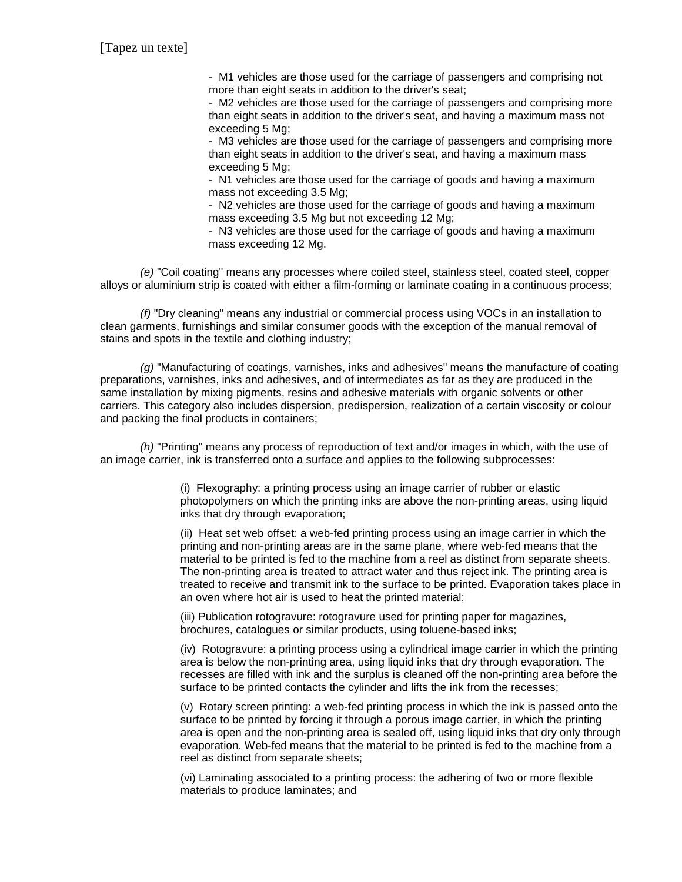- M1 vehicles are those used for the carriage of passengers and comprising not more than eight seats in addition to the driver's seat;

- M2 vehicles are those used for the carriage of passengers and comprising more than eight seats in addition to the driver's seat, and having a maximum mass not exceeding 5 Mg;

- M3 vehicles are those used for the carriage of passengers and comprising more than eight seats in addition to the driver's seat, and having a maximum mass exceeding 5 Mg;

- N1 vehicles are those used for the carriage of goods and having a maximum mass not exceeding 3.5 Mg;

- N2 vehicles are those used for the carriage of goods and having a maximum mass exceeding 3.5 Mg but not exceeding 12 Mg;

- N3 vehicles are those used for the carriage of goods and having a maximum mass exceeding 12 Mg.

(e) "Coil coating" means any processes where coiled steel, stainless steel, coated steel, copper alloys or aluminium strip is coated with either a film-forming or laminate coating in a continuous process;

(f) "Dry cleaning" means any industrial or commercial process using VOCs in an installation to clean garments, furnishings and similar consumer goods with the exception of the manual removal of stains and spots in the textile and clothing industry;

 $(q)$  "Manufacturing of coatings, varnishes, inks and adhesives" means the manufacture of coating preparations, varnishes, inks and adhesives, and of intermediates as far as they are produced in the same installation by mixing pigments, resins and adhesive materials with organic solvents or other carriers. This category also includes dispersion, predispersion, realization of a certain viscosity or colour and packing the final products in containers;

(h) "Printing" means any process of reproduction of text and/or images in which, with the use of an image carrier, ink is transferred onto a surface and applies to the following subprocesses:

> (i) Flexography: a printing process using an image carrier of rubber or elastic photopolymers on which the printing inks are above the non-printing areas, using liquid inks that dry through evaporation;

(ii) Heat set web offset: a web-fed printing process using an image carrier in which the printing and non-printing areas are in the same plane, where web-fed means that the material to be printed is fed to the machine from a reel as distinct from separate sheets. The non-printing area is treated to attract water and thus reject ink. The printing area is treated to receive and transmit ink to the surface to be printed. Evaporation takes place in an oven where hot air is used to heat the printed material;

(iii) Publication rotogravure: rotogravure used for printing paper for magazines, brochures, catalogues or similar products, using toluene-based inks;

(iv) Rotogravure: a printing process using a cylindrical image carrier in which the printing area is below the non-printing area, using liquid inks that dry through evaporation. The recesses are filled with ink and the surplus is cleaned off the non-printing area before the surface to be printed contacts the cylinder and lifts the ink from the recesses;

(v) Rotary screen printing: a web-fed printing process in which the ink is passed onto the surface to be printed by forcing it through a porous image carrier, in which the printing area is open and the non-printing area is sealed off, using liquid inks that dry only through evaporation. Web-fed means that the material to be printed is fed to the machine from a reel as distinct from separate sheets;

(vi) Laminating associated to a printing process: the adhering of two or more flexible materials to produce laminates; and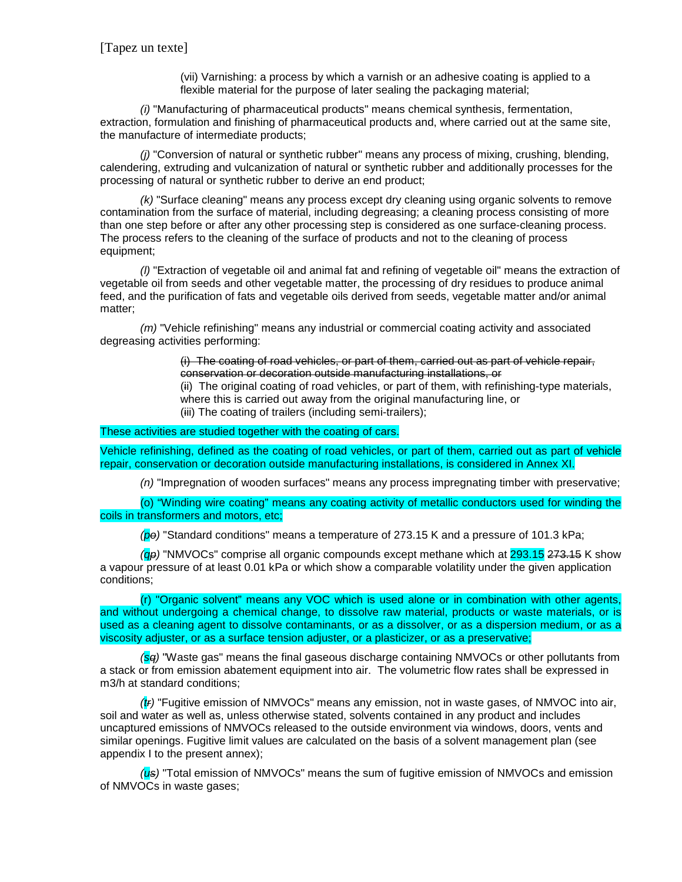(vii) Varnishing: a process by which a varnish or an adhesive coating is applied to a flexible material for the purpose of later sealing the packaging material;

(i) "Manufacturing of pharmaceutical products" means chemical synthesis, fermentation, extraction, formulation and finishing of pharmaceutical products and, where carried out at the same site, the manufacture of intermediate products;

(j) "Conversion of natural or synthetic rubber" means any process of mixing, crushing, blending, calendering, extruding and vulcanization of natural or synthetic rubber and additionally processes for the processing of natural or synthetic rubber to derive an end product;

(k) "Surface cleaning" means any process except dry cleaning using organic solvents to remove contamination from the surface of material, including degreasing; a cleaning process consisting of more than one step before or after any other processing step is considered as one surface-cleaning process. The process refers to the cleaning of the surface of products and not to the cleaning of process equipment;

(l) "Extraction of vegetable oil and animal fat and refining of vegetable oil" means the extraction of vegetable oil from seeds and other vegetable matter, the processing of dry residues to produce animal feed, and the purification of fats and vegetable oils derived from seeds, vegetable matter and/or animal matter;

(*m*) "Vehicle refinishing" means any industrial or commercial coating activity and associated degreasing activities performing:

> (i) The coating of road vehicles, or part of them, carried out as part of vehicle repair, conservation or decoration outside manufacturing installations, or (ii) The original coating of road vehicles, or part of them, with refinishing-type materials, where this is carried out away from the original manufacturing line, or (iii) The coating of trailers (including semi-trailers);

#### These activities are studied together with the coating of cars.

Vehicle refinishing, defined as the coating of road vehicles, or part of them, carried out as part of vehicle repair, conservation or decoration outside manufacturing installations, is considered in Annex XI.

 $(n)$  "Impregnation of wooden surfaces" means any process impregnating timber with preservative;

(o) "Winding wire coating" means any coating activity of metallic conductors used for winding the coils in transformers and motors, etc;

 $\dot{\varrho}$ e) "Standard conditions" means a temperature of 273.15 K and a pressure of 101.3 kPa;

 $(q_p)$  "NMVOCs" comprise all organic compounds except methane which at 293.15 273.15 K show a vapour pressure of at least 0.01 kPa or which show a comparable volatility under the given application conditions;

(r) "Organic solvent" means any VOC which is used alone or in combination with other agents, and without undergoing a chemical change, to dissolve raw material, products or waste materials, or is used as a cleaning agent to dissolve contaminants, or as a dissolver, or as a dispersion medium, or as a viscosity adjuster, or as a surface tension adjuster, or a plasticizer, or as a preservative;

(sq) "Waste gas" means the final gaseous discharge containing NMVOCs or other pollutants from a stack or from emission abatement equipment into air. The volumetric flow rates shall be expressed in m3/h at standard conditions;

 $(t)$  "Fugitive emission of NMVOCs" means any emission, not in waste gases, of NMVOC into air, soil and water as well as, unless otherwise stated, solvents contained in any product and includes uncaptured emissions of NMVOCs released to the outside environment via windows, doors, vents and similar openings. Fugitive limit values are calculated on the basis of a solvent management plan (see appendix I to the present annex);

 $\mu$ s) "Total emission of NMVOCs" means the sum of fugitive emission of NMVOCs and emission of NMVOCs in waste gases;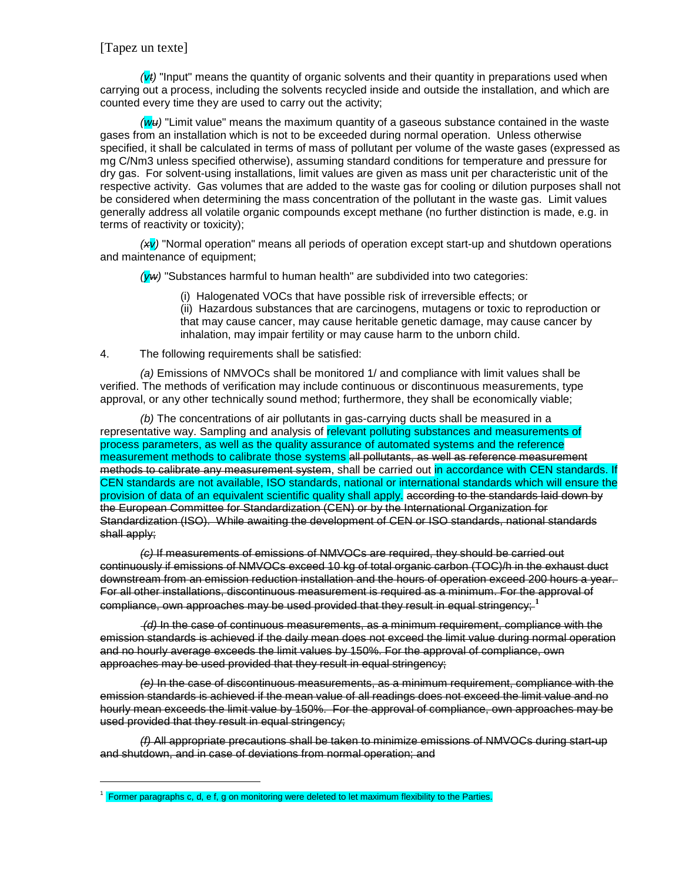<u>.</u>

 $(\nu t)$  "Input" means the quantity of organic solvents and their quantity in preparations used when carrying out a process, including the solvents recycled inside and outside the installation, and which are counted every time they are used to carry out the activity;

 $(w<sub>H</sub>)$  "Limit value" means the maximum quantity of a gaseous substance contained in the waste gases from an installation which is not to be exceeded during normal operation. Unless otherwise specified, it shall be calculated in terms of mass of pollutant per volume of the waste gases (expressed as mg C/Nm3 unless specified otherwise), assuming standard conditions for temperature and pressure for dry gas. For solvent-using installations, limit values are given as mass unit per characteristic unit of the respective activity. Gas volumes that are added to the waste gas for cooling or dilution purposes shall not be considered when determining the mass concentration of the pollutant in the waste gas. Limit values generally address all volatile organic compounds except methane (no further distinction is made, e.g. in terms of reactivity or toxicity);

 $(xv)$  "Normal operation" means all periods of operation except start-up and shutdown operations and maintenance of equipment;

 $(yw)$  "Substances harmful to human health" are subdivided into two categories:

(i) Halogenated VOCs that have possible risk of irreversible effects; or (ii) Hazardous substances that are carcinogens, mutagens or toxic to reproduction or that may cause cancer, may cause heritable genetic damage, may cause cancer by inhalation, may impair fertility or may cause harm to the unborn child.

4. The following requirements shall be satisfied:

(a) Emissions of NMVOCs shall be monitored 1/ and compliance with limit values shall be verified. The methods of verification may include continuous or discontinuous measurements, type approval, or any other technically sound method; furthermore, they shall be economically viable;

(b) The concentrations of air pollutants in gas-carrying ducts shall be measured in a representative way. Sampling and analysis of relevant polluting substances and measurements of process parameters, as well as the quality assurance of automated systems and the reference measurement methods to calibrate those systems all pollutants, as well as reference measurement methods to calibrate any measurement system, shall be carried out in accordance with CEN standards. If CEN standards are not available, ISO standards, national or international standards which will ensure the provision of data of an equivalent scientific quality shall apply. according to the standards laid down by the European Committee for Standardization (CEN) or by the International Organization for Standardization (ISO). While awaiting the development of CEN or ISO standards, national standards shall apply;

(c) If measurements of emissions of NMVOCs are required, they should be carried out continuously if emissions of NMVOCs exceed 10 kg of total organic carbon (TOC)/h in the exhaust duct downstream from an emission reduction installation and the hours of operation exceed 200 hours a year. For all other installations, discontinuous measurement is required as a minimum. For the approval of compliance, own approaches may be used provided that they result in equal stringency; **<sup>1</sup>**

(d) In the case of continuous measurements, as a minimum requirement, compliance with the emission standards is achieved if the daily mean does not exceed the limit value during normal operation and no hourly average exceeds the limit values by 150%. For the approval of compliance, own approaches may be used provided that they result in equal stringency;

(e) In the case of discontinuous measurements, as a minimum requirement, compliance with the emission standards is achieved if the mean value of all readings does not exceed the limit value and no hourly mean exceeds the limit value by 150%. For the approval of compliance, own approaches may be used provided that they result in equal stringency;

(f) All appropriate precautions shall be taken to minimize emissions of NMVOCs during start-up and shutdown, and in case of deviations from normal operation; and

<sup>1</sup> Former paragraphs c, d, e f, g on monitoring were deleted to let maximum flexibility to the Parties.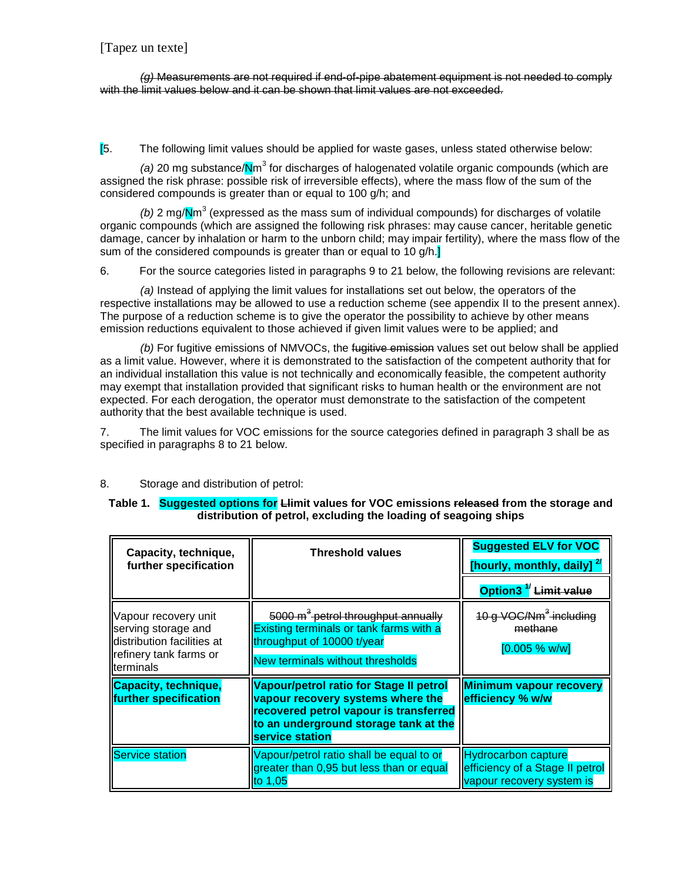(g) Measurements are not required if end-of-pipe abatement equipment is not needed to comply with the limit values below and it can be shown that limit values are not exceeded.

[5. The following limit values should be applied for waste gases, unless stated otherwise below:

(a) 20 mg substance/ $Nm^3$  for discharges of halogenated volatile organic compounds (which are assigned the risk phrase: possible risk of irreversible effects), where the mass flow of the sum of the considered compounds is greater than or equal to 100 g/h; and

(b) 2 mg/ $Nm^3$  (expressed as the mass sum of individual compounds) for discharges of volatile organic compounds (which are assigned the following risk phrases: may cause cancer, heritable genetic damage, cancer by inhalation or harm to the unborn child; may impair fertility), where the mass flow of the sum of the considered compounds is greater than or equal to 10 g/h.

6. For the source categories listed in paragraphs 9 to 21 below, the following revisions are relevant:

(a) Instead of applying the limit values for installations set out below, the operators of the respective installations may be allowed to use a reduction scheme (see appendix II to the present annex). The purpose of a reduction scheme is to give the operator the possibility to achieve by other means emission reductions equivalent to those achieved if given limit values were to be applied; and

(b) For fugitive emissions of NMVOCs, the fugitive emission values set out below shall be applied as a limit value. However, where it is demonstrated to the satisfaction of the competent authority that for an individual installation this value is not technically and economically feasible, the competent authority may exempt that installation provided that significant risks to human health or the environment are not expected. For each derogation, the operator must demonstrate to the satisfaction of the competent authority that the best available technique is used.

7. The limit values for VOC emissions for the source categories defined in paragraph 3 shall be as specified in paragraphs 8 to 21 below.

## 8. Storage and distribution of petrol:

#### Table 1. Suggested options for **Limit values for VOC** emissions released from the storage and **distribution of petrol, excluding the loading of seagoing ships**

| Capacity, technique,<br>further specification                                                                            | <b>Threshold values</b>                                                                                                                                                            | <b>Suggested ELV for VOC</b><br>[hourly, monthly, daily] <sup>2</sup>                      |
|--------------------------------------------------------------------------------------------------------------------------|------------------------------------------------------------------------------------------------------------------------------------------------------------------------------------|--------------------------------------------------------------------------------------------|
|                                                                                                                          |                                                                                                                                                                                    | Option3 <sup>1</sup> Limit value                                                           |
| Vapour recovery unit<br>serving storage and<br>distribution facilities at<br>refinery tank farms or<br><b>Iterminals</b> | 5000 m <sup>3</sup> petrol throughput annually<br>Existing terminals or tank farms with a<br>throughput of 10000 t/year<br>New terminals without thresholds                        | 10 g VOC/Nm <sup>3</sup> -including<br>methane<br>$[0.005 %$ w/w]                          |
| <b>Capacity, technique,</b><br>further specification                                                                     | Vapour/petrol ratio for Stage II petrol<br>vapour recovery systems where the<br>recovered petrol vapour is transferred<br>to an underground storage tank at the<br>service station | Minimum vapour recovery<br>efficiency % w/w                                                |
| <b>Service station</b>                                                                                                   | Vapour/petrol ratio shall be equal to or<br>greater than 0,95 but less than or equal<br>to $1,05$                                                                                  | <b>Hydrocarbon capture</b><br>efficiency of a Stage II petrol<br>vapour recovery system is |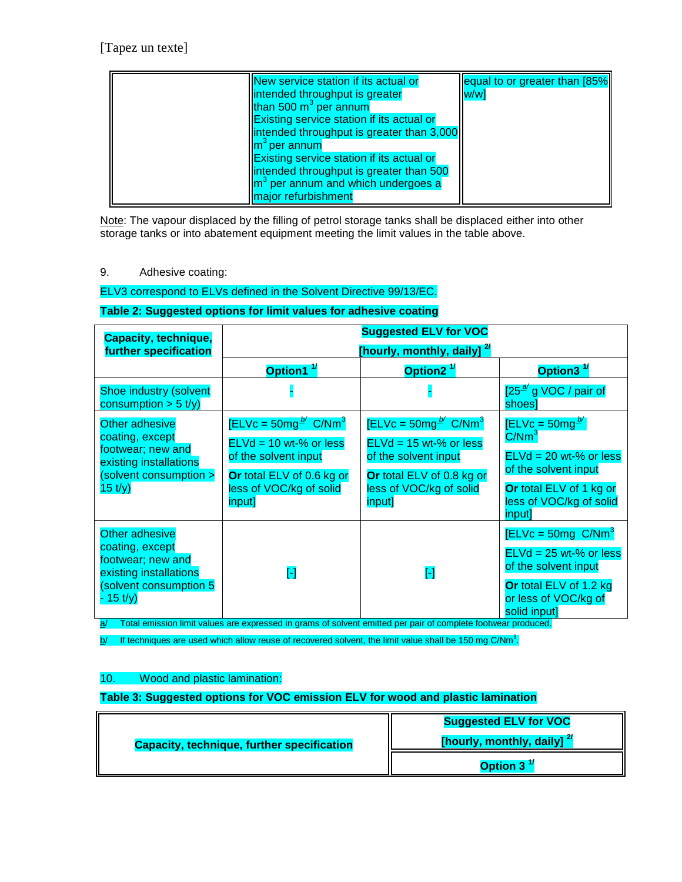| New service station if its actual or<br>intended throughput is greater<br>than 500 $m^3$ per annum<br><b>Existing service station if its actual or</b><br>intended throughput is greater than 3,000<br>Im <sup>3</sup> per annum<br><b>Existing service station if its actual or</b><br>intended throughput is greater than 500<br>m <sup>3</sup> per annum and which undergoes a<br>major refurbishment | equal to or greater than [85%]<br>w/w1 |
|----------------------------------------------------------------------------------------------------------------------------------------------------------------------------------------------------------------------------------------------------------------------------------------------------------------------------------------------------------------------------------------------------------|----------------------------------------|
|----------------------------------------------------------------------------------------------------------------------------------------------------------------------------------------------------------------------------------------------------------------------------------------------------------------------------------------------------------------------------------------------------------|----------------------------------------|

Note: The vapour displaced by the filling of petrol storage tanks shall be displaced either into other storage tanks or into abatement equipment meeting the limit values in the table above.

9. Adhesive coating:

# ELV3 correspond to ELVs defined in the Solvent Directive 99/13/EC.

# **Table 2: Suggested options for limit values for adhesive coating**

| <b>Capacity, technique,</b>                                                                                                   | <b>Suggested ELV for VOC</b><br>[hourly, monthly, daily] $^{2\prime}$                                                                            |                                                                                                                                                  |                                                                                                                                                                      |  |
|-------------------------------------------------------------------------------------------------------------------------------|--------------------------------------------------------------------------------------------------------------------------------------------------|--------------------------------------------------------------------------------------------------------------------------------------------------|----------------------------------------------------------------------------------------------------------------------------------------------------------------------|--|
| further specification                                                                                                         |                                                                                                                                                  |                                                                                                                                                  |                                                                                                                                                                      |  |
|                                                                                                                               | Option1 <sup>1</sup>                                                                                                                             | Option2 <sup>1/</sup>                                                                                                                            | Option3 <sup>1</sup>                                                                                                                                                 |  |
| <b>Shoe industry (solvent</b><br>consumption $>$ 5 t/y)                                                                       |                                                                                                                                                  |                                                                                                                                                  | $[25a]$ g VOC / pair of<br>shoes                                                                                                                                     |  |
| Other adhesive<br>coating, except<br>footwear; new and<br>existing installations<br>(solvent consumption ><br>15 t/y          | $[ELVc = 50mg^{b} C/Nm^3]$<br>$ELVd = 10 wt-S$ or less<br>of the solvent input<br>Or total ELV of 0.6 kg or<br>less of VOC/kg of solid<br>input] | $[ELVc = 50mg^{b} C/Nm^3]$<br>$ELVd = 15 wt-S$ or less<br>of the solvent input<br>Or total ELV of 0.8 kg or<br>less of VOC/kg of solid<br>input] | $[ELVc = 50mg^{b'}]$<br>C/Nm <sup>3</sup><br>$ELVd = 20 wt-K$ or less<br>of the solvent input<br><b>Or total ELV of 1 kg or</b><br>less of VOC/kg of solid<br>input] |  |
| Other adhesive<br>coating, except<br>footwear; new and<br>existing installations<br>(solvent consumption 5<br>$-15$ t/y)<br>a | H                                                                                                                                                | H<br>Total emission limit values are expressed in grams of solvent emitted per pair of complete footwear produced.                               | $[ELVc = 50mg$ C/Nm <sup>3</sup><br>$ELVd = 25 wt-S$ or less<br>of the solvent input<br>Or total ELV of 1.2 kg<br>or less of VOC/kg of<br>solid input]               |  |

 $b$  If techniques are used which allow reuse of recovered solvent, the limit value shall be 150 mg C/Nm<sup>3</sup>.

# 10. Wood and plastic lamination:

# **Table 3: Suggested options for VOC emission ELV for wood and plastic lamination**

|                                                   | <b>Suggested ELV for VOC</b>          |  |
|---------------------------------------------------|---------------------------------------|--|
| <b>Capacity, technique, further specification</b> | [hourly, monthly, daily] <sup>2</sup> |  |
|                                                   | Option 3 <sup>1/</sup>                |  |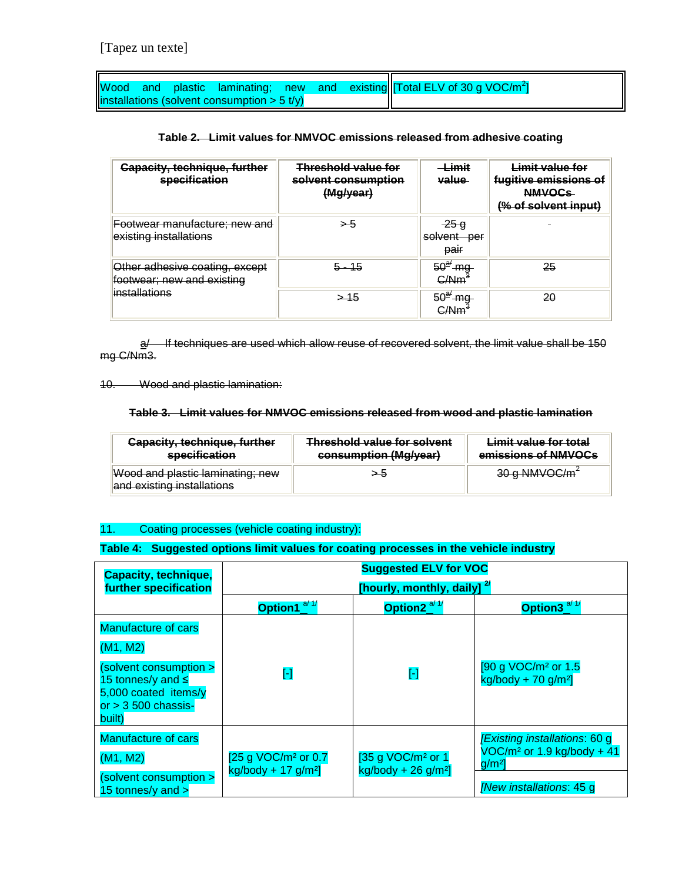|  |                                               |  | Wood and plastic laminating; new and existing $  $ [Total ELV of 30 g VOC/m <sup>2</sup> ] |
|--|-----------------------------------------------|--|--------------------------------------------------------------------------------------------|
|  | installations (solvent consumption $>$ 5 t/y) |  |                                                                                            |

| Table 2 Limit values for NMVOC emissions released from adhesive coating               |
|---------------------------------------------------------------------------------------|
| <u>Table 2. Elillil values for NMTOO elillissions foloascu from auticsive couling</u> |

| <b>Capacity, technique, further</b><br>specification         | <b>Threshold value for</b><br>solvent consumption<br>(Mg/year) | <del>Limit</del><br><u>value</u>    | <del>Limit value for</del><br>fugitive emissions of<br><b>NMVOCs</b><br><del>(% of solvent input)</del> |
|--------------------------------------------------------------|----------------------------------------------------------------|-------------------------------------|---------------------------------------------------------------------------------------------------------|
| Footwear manufacture; new and<br>existing installations      | $\rightarrow 5$                                                | <u>-25 g</u><br>solvent per<br>pair |                                                                                                         |
| Other adhesive coating, except<br>footwear; new and existing | $5 - 15$                                                       | $50at$ mg<br>C/Nm                   | 25                                                                                                      |
| installations                                                | $-45$                                                          | $502$ mg<br>C/Nm                    | 20                                                                                                      |

 $\underline{a}$  If techniques are used which allow reuse of recovered solvent, the limit value shall be 150 mg C/Nm3.

10. Wood and plastic lamination:

**Table 3. Limit values for NMVOC emissions released from wood and plastic lamination**

| Capacity, technique, further                                   | <b>Threshold value for solvent</b> | Limit value for total       |
|----------------------------------------------------------------|------------------------------------|-----------------------------|
| specification                                                  | consumption (Mg/year)              | emissions of NMVOCs         |
| Wood and plastic laminating; new<br>and existing installations | > 5                                | $30 g$ NMVOC/m <sup>2</sup> |

# 11. Coating processes (vehicle coating industry):

## **Table 4: Suggested options limit values for coating processes in the vehicle industry**

| <b>Capacity, technique,</b>                                                                                | <b>Suggested ELV for VOC</b>          |                               |                                                                        |  |  |
|------------------------------------------------------------------------------------------------------------|---------------------------------------|-------------------------------|------------------------------------------------------------------------|--|--|
| further specification                                                                                      | [hourly, monthly, daily] <sup>2</sup> |                               |                                                                        |  |  |
|                                                                                                            | Option1 <sup>a/1/</sup>               | Option2 $a/1/$                | Option3 $a/1/$                                                         |  |  |
| Manufacture of cars                                                                                        |                                       |                               |                                                                        |  |  |
| (M1, M2)                                                                                                   |                                       |                               |                                                                        |  |  |
| (solvent consumption ><br>15 tonnes/y and $\leq$<br>5,000 coated items/y<br>or $> 3500$ chassis-<br>built) |                                       | H                             | [90 g VOC/m <sup>2</sup> or 1.5<br>$kg/body + 70 g/m2$                 |  |  |
| <b>Manufacture of cars</b><br>(M1, M2)                                                                     | [25 g VOC/m <sup>2</sup> or 0.7       | [35 g VOC/m <sup>2</sup> or 1 | <b>[Existing installations: 60 g</b><br>VOC/ $m^2$ or 1.9 kg/body + 41 |  |  |
| (solvent consumption ><br>15 tonnes/y and $>$                                                              | $kg/body + 17 g/m2$                   | $kg/body + 26 g/m2$           | q/m <sup>2</sup><br><i>[New installations: 45 g]</i>                   |  |  |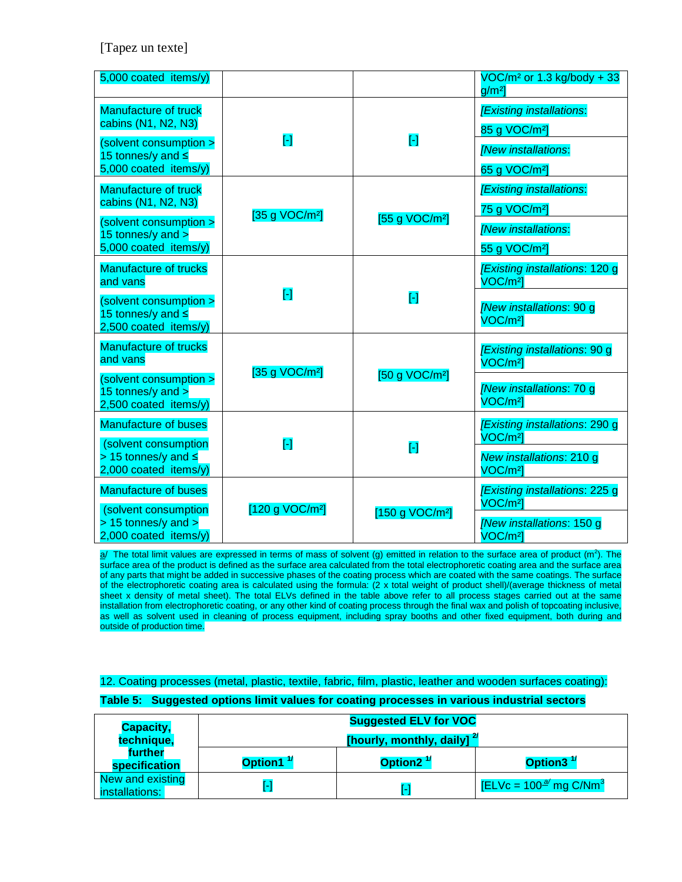| 5,000 coated items/y)                                                         |                             |                             | VOC/m <sup>2</sup> or 1.3 kg/body + 33<br>g/m <sup>2</sup> |
|-------------------------------------------------------------------------------|-----------------------------|-----------------------------|------------------------------------------------------------|
| <b>Manufacture of truck</b><br>cabins (N1, N2, N3)                            |                             | $\Box$                      | [Existing installations:<br>85 g VOC/m <sup>2</sup> ]      |
| (solvent consumption ><br>15 tonnes/y and $\leq$<br>$5,000$ coated items/y)   | H                           |                             | <b>[New installations:</b><br>65 g VOC/m <sup>2</sup>      |
| Manufacture of truck<br>cabins (N1, N2, N3)                                   | [35 g $VOC/m^2$ ]           |                             | [Existing installations:<br>75 g VOC/m <sup>2</sup> ]      |
| (solvent consumption ><br>15 tonnes/y and $>$<br>$5,000$ coated items/y)      |                             | [55 g VOC/m <sup>2</sup> ]  | <b>[New installations:</b><br>55 g VOC/m <sup>2</sup> ]    |
| <b>Manufacture of trucks</b><br>and vans                                      |                             |                             | [Existing installations: 120 g<br>VOC/m <sup>2</sup>       |
| (solvent consumption ><br>15 tonnes/y and $\leq$<br>$2,500$ coated items/y)   | H                           | H                           | [New installations: 90 g<br>VOC/m <sup>2</sup>             |
| <b>Manufacture of trucks</b><br>and vans                                      | [35 g VOC/m <sup>2</sup> ]  | [50 g VOC/m <sup>2</sup> ]  | <b>[Existing installations: 90 g</b><br>VOC/m <sup>2</sup> |
| (solvent consumption ><br>15 tonnes/y and $>$<br>$2,500$ coated items/y)      |                             |                             | [New installations: 70 g<br>VOC/m <sup>2</sup>             |
| <b>Manufacture of buses</b>                                                   | H                           |                             | [Existing installations: 290 g<br>VOC/m <sup>2</sup>       |
| (solvent consumption<br>$> 15$ tonnes/y and $\leq$<br>$2,000$ coated items/y) |                             | $\overline{F}$              | New installations: 210 g<br>VOC/m <sup>2</sup>             |
| <b>Manufacture of buses</b>                                                   | [120 g VOC/m <sup>2</sup> ] | [150 g VOC/m <sup>2</sup> ] | [Existing installations: 225 g<br>VOC/m <sup>2</sup>       |
| (solvent consumption<br>> 15 tonnes/y and ><br>$2,000$ coated items/y)        |                             |                             | [New installations: 150 g<br>VOC/m <sup>2</sup>            |

 $a$ / The total limit values are expressed in terms of mass of solvent (g) emitted in relation to the surface area of product (m<sup>2</sup>). The surface area of the product is defined as the surface area calculated from the total electrophoretic coating area and the surface area of any parts that might be added in successive phases of the coating process which are coated with the same coatings. The surface of the electrophoretic coating area is calculated using the formula: (2 x total weight of product shell)/(average thickness of metal sheet x density of metal sheet). The total ELVs defined in the table above refer to all process stages carried out at the same installation from electrophoretic coating, or any other kind of coating process through the final wax and polish of topcoating inclusive, as well as solvent used in cleaning of process equipment, including spray booths and other fixed equipment, both during and outside of production time.

12. Coating processes (metal, plastic, textile, fabric, film, plastic, leather and wooden surfaces coating):

#### **Table 5: Suggested options limit values for coating processes in various industrial sectors**

| <b>Capacity,</b>                   |                                       | <b>Suggested ELV for VOC</b> |                                                  |  |  |
|------------------------------------|---------------------------------------|------------------------------|--------------------------------------------------|--|--|
| technique,                         | [hourly, monthly, daily] <sup>2</sup> |                              |                                                  |  |  |
| further<br>specification           | Option1 <sup>1</sup>                  | Option2 <sup>1</sup>         | Option3 <sup>1/</sup>                            |  |  |
| New and existing<br>installations: |                                       |                              | [ELVc = $100^{\frac{a}{m}}$ mg C/Nm <sup>3</sup> |  |  |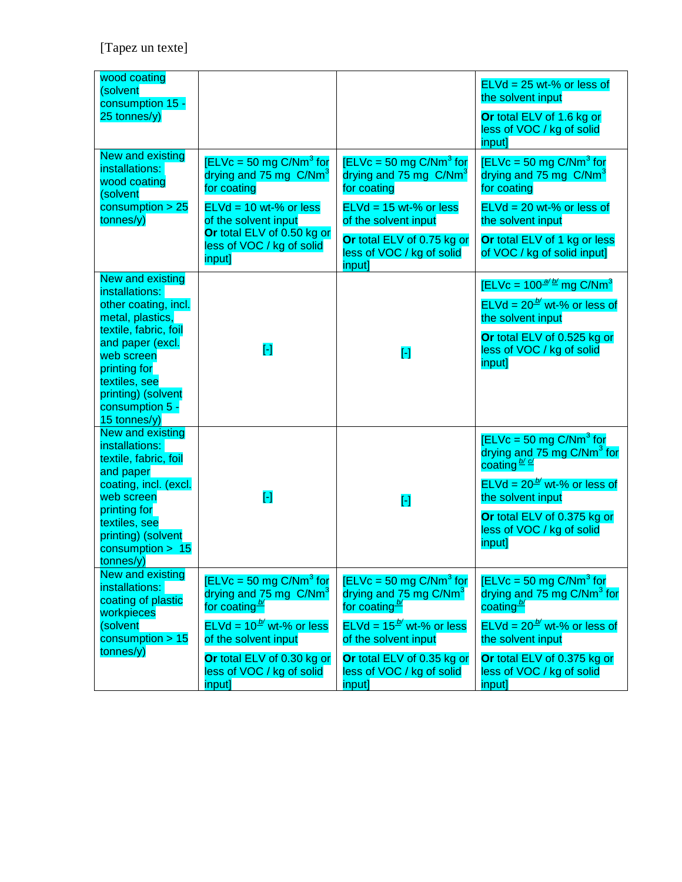| wood coating<br>(solvent<br>consumption 15 -                   |                                                                                |                                                                                 | $ELVd = 25 wt-S$ or less of<br>the solvent input                                |
|----------------------------------------------------------------|--------------------------------------------------------------------------------|---------------------------------------------------------------------------------|---------------------------------------------------------------------------------|
| 25 tonnes/y)                                                   |                                                                                |                                                                                 | Or total ELV of 1.6 kg or<br>less of VOC / kg of solid<br>input]                |
| New and existing<br>installations:<br>wood coating<br>(solvent | [ELVc = 50 mg $C/Nm3$ for<br>drying and 75 mg C/Nm <sup>3</sup><br>for coating | $[ELVc = 50 mg C/Nm3 for]$<br>drying and 75 mg C/Nm <sup>3</sup><br>for coating | $[ELVc = 50 mg C/Nm3 for]$<br>drying and 75 mg C/Nm <sup>3</sup><br>for coating |
| consumption > 25<br>tonnes/y)                                  | $ELVd = 10 wt-S$ or less<br>of the solvent input                               | $ELVd = 15 wt-S$ or less<br>of the solvent input                                | $ELVd = 20 wt-% or less of$<br>the solvent input                                |
|                                                                | Or total ELV of 0.50 kg or<br>less of VOC / kg of solid<br>input]              | Or total ELV of 0.75 kg or<br>less of VOC / kg of solid<br>input]               | Or total ELV of 1 kg or less<br>of VOC / kg of solid input]                     |
| New and existing<br>installations:                             |                                                                                |                                                                                 | [ELVc = $100^{a/b}$ mg C/Nm <sup>3</sup>                                        |
| other coating, incl.<br>metal, plastics,                       |                                                                                |                                                                                 | ELVd = $20^{b}$ wt-% or less of<br>the solvent input                            |
| textile, fabric, foil<br>and paper (excl.<br>web screen        | $\blacksquare$                                                                 | $\mathbf{H}$                                                                    | Or total ELV of 0.525 kg or<br>less of VOC / kg of solid<br>input]              |
| printing for<br>textiles, see<br>printing) (solvent            |                                                                                |                                                                                 |                                                                                 |
| consumption 5 -<br>15 tonnes/y)                                |                                                                                |                                                                                 |                                                                                 |
| New and existing<br>installations:                             |                                                                                |                                                                                 | $[ELVc = 50 mg C/Nm3 for]$<br>drying and 75 mg C/Nm <sup>3</sup> for            |
| textile, fabric, foil<br>and paper                             |                                                                                |                                                                                 | coating <sup>b∕ ⊈∕</sup>                                                        |
| coating, incl. (excl.<br>web screen                            | $\boxdot$                                                                      | $\blacksquare$                                                                  | ELVd = $20^{6}$ wt-% or less of<br>the solvent input                            |
| printing for<br>textiles, see<br>printing) (solvent            |                                                                                |                                                                                 | Or total ELV of 0.375 kg or<br>less of VOC / kg of solid                        |
| consumption > 15<br>tonnes/y)                                  |                                                                                |                                                                                 | input]                                                                          |
| New and existing<br>installations:                             | $[ELVc = 50 mg C/Nm3 for$                                                      | $[ELVc = 50 mg C/Nm3 for$                                                       | $[ELVc = 50 mg C/Nm3 for]$                                                      |
| coating of plastic<br>workpieces                               | drying and 75 mg $\text{C/Nm}^3$<br>for coating <sup>b</sup>                   | drying and 75 mg $C/Nm3$<br>for coating <sup>b</sup>                            | drying and 75 mg C/Nm <sup>3</sup> for<br>coating <sup>b/</sup>                 |
| (solvent<br>consumption > 15                                   | ELVd = $10^{b}$ wt-% or less<br>of the solvent input                           | ELVd = $15^{b}$ wt-% or less<br>of the solvent input                            | ELVd = $20^{b}$ wt-% or less of<br>the solvent input                            |
| tonnes/y)                                                      | Or total ELV of 0.30 kg or<br>less of VOC / kg of solid<br>input]              | Or total ELV of 0.35 kg or<br>less of VOC / kg of solid<br>input]               | Or total ELV of 0.375 kg or<br>less of VOC / kg of solid<br>input]              |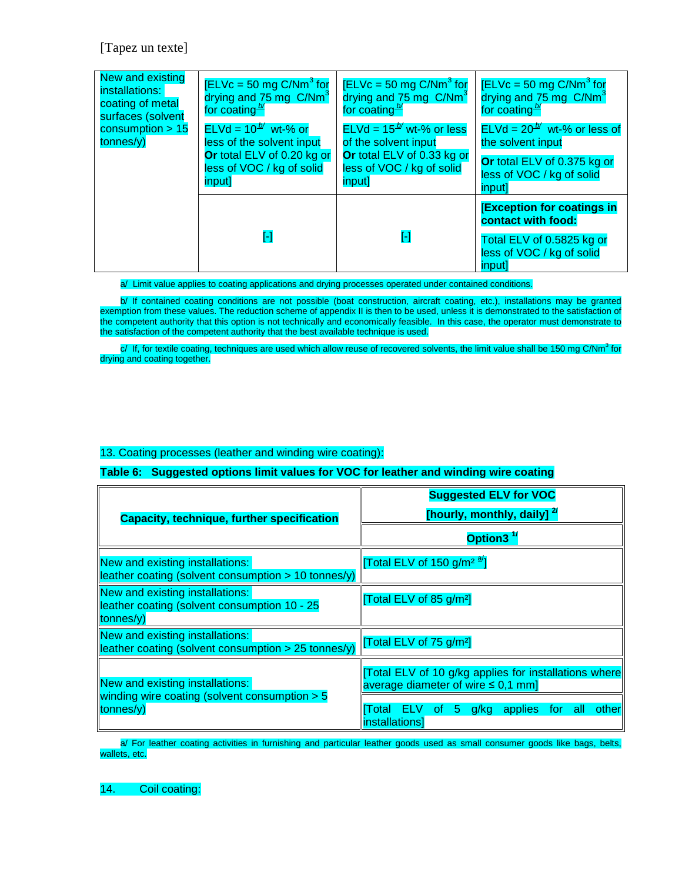| New and existing<br>installations:<br>coating of metal<br>surfaces (solvent<br>consumption > 15<br>tonnes/y) | $[ELVc = 50 mg C/Nm3 for]$<br>drying and 75 mg $\text{C/Nm}^3$<br>for coating <sup>b/</sup><br>$ELVd = 10b$ wt-% or<br>less of the solvent input<br>Or total ELV of 0.20 kg or<br>less of VOC / kg of solid<br>input] | $[ELVc = 50 mg C/Nm3 for$<br>drying and 75 mg $\text{C/Nm}^3$<br>for coating $\frac{b}{c}$<br>ELVd = $15^{b}$ wt-% or less<br>of the solvent input<br>Or total ELV of 0.33 kg or<br>less of VOC / kg of solid<br>input] | $[ELVc = 50 mg C/Nm3 for$<br>drying and 75 mg $C/Nm3$<br>for coating <sup>b</sup><br>ELVd = $20^{b}$ wt-% or less of<br>the solvent input<br>Or total ELV of 0.375 kg or<br>less of VOC / kg of solid<br>input] |
|--------------------------------------------------------------------------------------------------------------|-----------------------------------------------------------------------------------------------------------------------------------------------------------------------------------------------------------------------|-------------------------------------------------------------------------------------------------------------------------------------------------------------------------------------------------------------------------|-----------------------------------------------------------------------------------------------------------------------------------------------------------------------------------------------------------------|
|                                                                                                              |                                                                                                                                                                                                                       |                                                                                                                                                                                                                         | <b>Exception for coatings in</b><br>contact with food:<br>Total ELV of 0.5825 kg or<br>less of VOC / kg of solid<br><i>input</i>                                                                                |

a/ Limit value applies to coating applications and drying processes operated under contained conditions.

b/ If contained coating conditions are not possible (boat construction, aircraft coating, etc.), installations may be granted exemption from these values. The reduction scheme of appendix II is then to be used, unless it is demonstrated to the satisfaction of the competent authority that this option is not technically and economically feasible. In this case, the operator must demonstrate to the satisfaction of the competent authority that the best available technique is used.

c/ If, for textile coating, techniques are used which allow reuse of recovered solvents, the limit value shall be 150 mg C/Nm<sup>3</sup> for drying and coating together.

## 13. Coating processes (leather and winding wire coating):

# **Table 6: Suggested options limit values for VOC for leather and winding wire coating**

|                                                                                                    | <b>Suggested ELV for VOC</b>                                                                            |
|----------------------------------------------------------------------------------------------------|---------------------------------------------------------------------------------------------------------|
| <b>Capacity, technique, further specification</b>                                                  | [hourly, monthly, daily] <sup>2/</sup>                                                                  |
|                                                                                                    | Option3 <sup>1/</sup>                                                                                   |
| New and existing installations:<br>$\parallel$ leather coating (solvent consumption > 10 tonnes/y) | Total ELV of 150 g/m <sup>2 a/</sup> ]                                                                  |
| New and existing installations:<br>leather coating (solvent consumption 10 - 25<br>tonnes/y)       | Total ELV of 85 g/m <sup>2</sup>                                                                        |
| New and existing installations:<br>$\parallel$ leather coating (solvent consumption > 25 tonnes/y) | Total ELV of 75 g/m <sup>2</sup>                                                                        |
| New and existing installations:                                                                    | Total ELV of 10 g/kg applies for installations where<br>$\alpha$ average diameter of wire $\leq 0.1$ mm |
| winding wire coating (solvent consumption $>$ 5<br>tonnes/y)                                       | Total ELV of 5 g/kg applies for all<br>other<br>installations]                                          |

a/ For leather coating activities in furnishing and particular leather goods used as small consumer goods like bags, belts, wallets, etc.

14. Coil coating: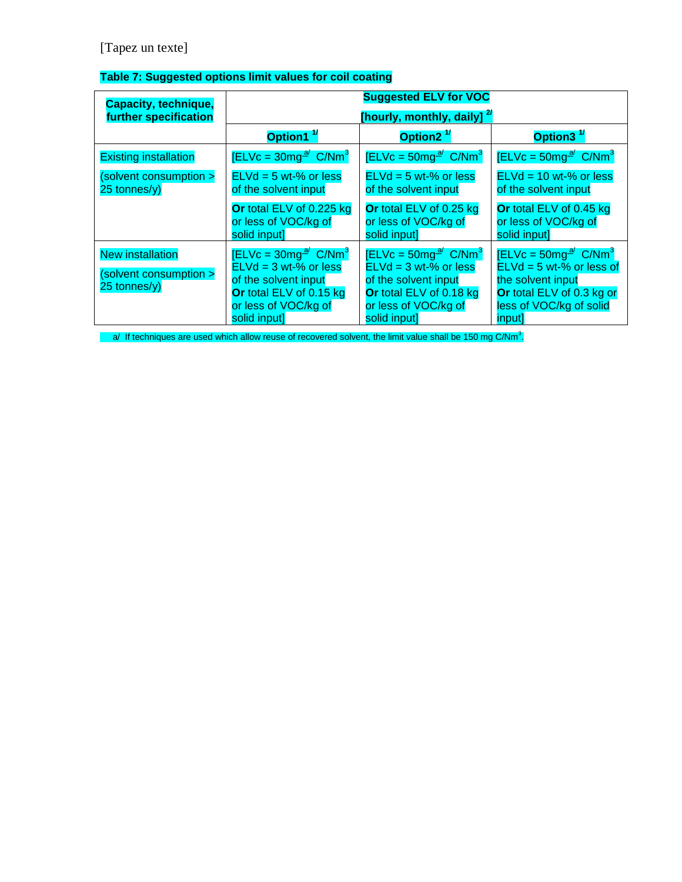| <b>Capacity, technique,</b>                                         | <b>Suggested ELV for VOC</b>                                                                                                                      |                                                                                                                                                    |                                                                                                                                                   |
|---------------------------------------------------------------------|---------------------------------------------------------------------------------------------------------------------------------------------------|----------------------------------------------------------------------------------------------------------------------------------------------------|---------------------------------------------------------------------------------------------------------------------------------------------------|
| further specification                                               |                                                                                                                                                   | [hourly, monthly, daily] <sup>2/</sup>                                                                                                             |                                                                                                                                                   |
|                                                                     | Option1 <sup>1/</sup>                                                                                                                             | Option2 <sup>1/</sup>                                                                                                                              | Option3 <sup>1/</sup>                                                                                                                             |
| <b>Existing installation</b>                                        | $[ELVc = 30mg^{a/2} C/Nm^3]$                                                                                                                      | $[ELVc = 50mg^{2/2} C/Nm^3]$                                                                                                                       | $[ELVc = 50mg^{a/2} C/Nm^3]$                                                                                                                      |
| (solvent consumption ><br>$25$ tonnes/y)                            | $ELVd = 5 wt-S$ or less<br>of the solvent input                                                                                                   | $ELVd = 5 wt-S$ or less<br>of the solvent input                                                                                                    | $ELVd = 10 wt-K$ or less<br>of the solvent input                                                                                                  |
|                                                                     | Or total ELV of 0.225 kg<br>or less of VOC/kg of<br>solid input]                                                                                  | Or total ELV of 0.25 kg<br>or less of VOC/kg of<br>solid input]                                                                                    | Or total ELV of 0.45 kg<br>or less of VOC/kg of<br>solid input]                                                                                   |
| <b>New installation</b><br>(solvent consumption ><br>$25$ tonnes/y) | $[ELVc = 30mg^{2l} C/Nm^3]$<br>$ELVd = 3 wt-S$ or less<br>of the solvent input<br>Or total ELV of 0.15 kg<br>or less of VOC/kg of<br>solid input] | $[ELVc = 50mg^{2/2} C/Nm^3]$<br>$ELVd = 3 wt-S$ or less<br>of the solvent input<br>Or total ELV of 0.18 kg<br>or less of VOC/kg of<br>solid input] | $[ELVc = 50mg^{a/2} C/Nm^3]$<br>$ELVd = 5 wt-S$ or less of<br>the solvent input<br>Or total ELV of 0.3 kg or<br>less of VOC/kg of solid<br>input] |

# **Table 7: Suggested options limit values for coil coating**

 $a$  If techniques are used which allow reuse of recovered solvent, the limit value shall be 150 mg C/Nm<sup>3</sup>.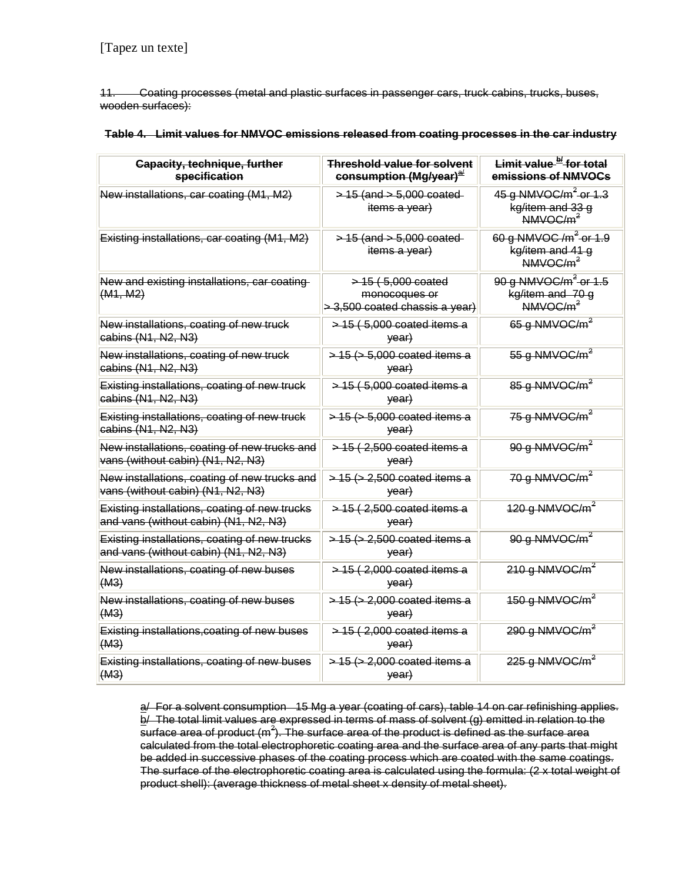11. Coating processes (metal and plastic surfaces in passenger cars, truck cabins, trucks, buses, wooden surfaces):

| <b>Capacity, technique, further</b><br>specification                                   | <b>Threshold value for solvent</b><br>consumption (Mg/year) <sup>at</sup>             | Limit value. <sup>b/</sup> for total<br>emissions of NMVOCs                    |
|----------------------------------------------------------------------------------------|---------------------------------------------------------------------------------------|--------------------------------------------------------------------------------|
| New installations, car coating (M1, M2)                                                | $>$ 15 (and $>$ 5,000 coated<br>items a year)                                         | $45 g$ NMVOC/m <sup>2</sup> or 1.3<br>kg/item and 33 g<br>NMVOC/m <sup>2</sup> |
| Existing installations, car coating (M1, M2)                                           | $>$ 15 (and $>$ 5,000 coated<br>items a year)                                         | $60 g$ NMVOC / $m^2$ or 1.9<br>kg/item and 41 g<br>NMVOC/m <sup>2</sup>        |
| New and existing installations, car coating<br>(M1, M2)                                | $> 15 (5,000 \text{ coated})$<br>monocoques or<br>$\geq 3,500$ coated chassis a year) | $90 g$ NMVOC/m <sup>2</sup> or 1.5<br>kg/item and 70 g<br>NMVOC/m <sup>2</sup> |
| New installations, coating of new truck<br>cabins (N1, N2, N3)                         | $>$ 15 (5,000 coated items a<br>vear)                                                 | $65 g$ NMVOC/m <sup>2</sup>                                                    |
| New installations, coating of new truck<br>cabins (N1, N2, N3)                         | $>$ 15 ( $>$ 5,000 coated items a<br>year)                                            | $55 g$ NMVOC/m <sup>2</sup>                                                    |
| Existing installations, coating of new truck<br>cabins (N1, N2, N3)                    | $>$ 15 (5,000 coated items a<br>year)                                                 | $85 g$ NMVOC/m <sup>2</sup>                                                    |
| Existing installations, coating of new truck<br>$ e$ abins $(N1, N2, N3)$              | $>$ 15 ( $>$ 5,000 coated items a<br>year)                                            | $75 g$ NMVOC/m <sup>2</sup>                                                    |
| New installations, coating of new trucks and<br>vans (without cabin) (N1, N2, N3)      | $>$ 15 (2,500 coated items a<br>vear)                                                 | 90 g NMVOC/m <sup>2</sup>                                                      |
| New installations, coating of new trucks and<br>vans (without cabin) (N1, N2, N3)      | $>$ 15 ( $>$ 2,500 coated items a<br>year)                                            | $70 g$ NMVOC/m <sup>2</sup>                                                    |
| Existing installations, coating of new trucks<br>and vans (without cabin) (N1, N2, N3) | $>$ 15 (2,500 coated items a<br>year)                                                 | $120 g$ NMVOC/m <sup>2</sup>                                                   |
| Existing installations, coating of new trucks<br>and vans (without cabin) (N1, N2, N3) | $>$ 15 ( $>$ 2,500 coated items a<br>vear)                                            | $90 g$ NMVOC/ $m2$                                                             |
| New installations, coating of new buses<br>(M3)                                        | $>$ 15 (2,000 coated items a<br>year)                                                 | $210 g$ NMVOC/m <sup>2</sup>                                                   |
| New installations, coating of new buses<br>(M3)                                        | $>$ 15 ( $>$ 2,000 coated items a<br>$\forall$ ear                                    | 150 g NMVOC/m <sup>2</sup>                                                     |
| Existing installations, coating of new buses<br>(M3)                                   | $>$ 15 (2,000 coated items a<br>year)                                                 | $290 g$ NMVOC/m <sup>2</sup>                                                   |
| Existing installations, coating of new buses<br>(M3)                                   | $>$ 15 ( $>$ 2,000 coated items a<br>vear)                                            | 225 g NMVOC/m <sup>2</sup>                                                     |

#### **Table 4. Limit values for NMVOC emissions released from coating processes in the car industry**

a/ For a solvent consumption 15 Mg a year (coating of cars), table 14 on car refinishing applies. b/ The total limit values are expressed in terms of mass of solvent (g) emitted in relation to the -<br>surface area of product (m<sup>2</sup>). The surface area of the product is defined as the surface area calculated from the total electrophoretic coating area and the surface area of any parts that might be added in successive phases of the coating process which are coated with the same coatings. The surface of the electrophoretic coating area is calculated using the formula: (2 x total weight of product shell): (average thickness of metal sheet x density of metal sheet).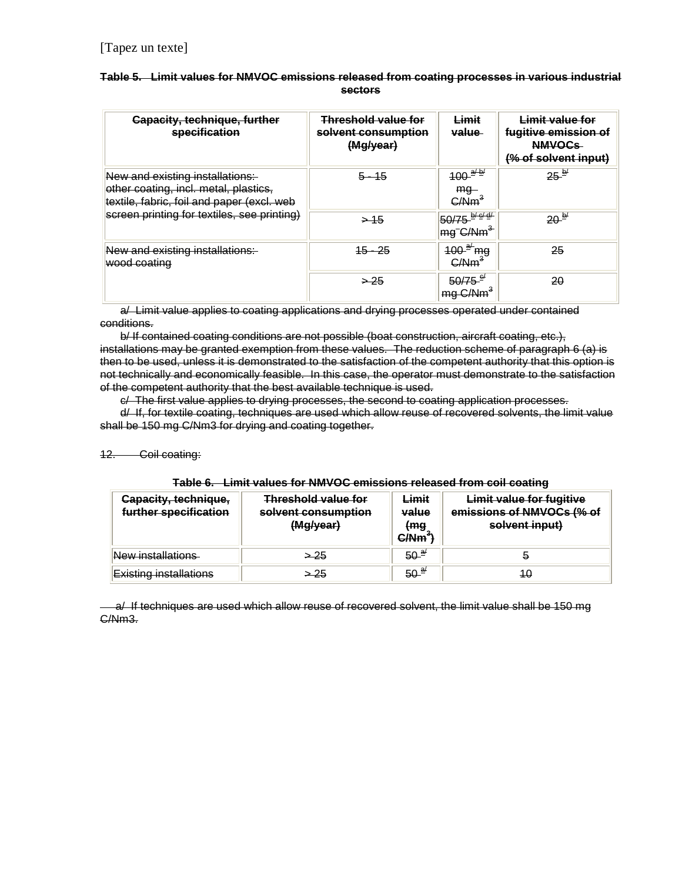| <b>Capacity, technique, further</b><br>specification                                                                   | <b>Threshold value for</b><br>solvent consumption<br>(Mg/year) | Limit<br>value                                | Limit value for<br>fugitive emission of<br><b>NMVOCs</b><br><del>(% of solvent input)</del> |
|------------------------------------------------------------------------------------------------------------------------|----------------------------------------------------------------|-----------------------------------------------|---------------------------------------------------------------------------------------------|
| New and existing installations:<br>other coating, incl. metal, plastics,<br>textile, fabric, foil and paper (excl. web | $5 - 15$                                                       | <u>100-<sup>a/ b/</sup></u><br>mg<br>$C/Nm^3$ | $25^{\frac{b}{2}}$                                                                          |
| screen printing for textiles, see printing)                                                                            | $+45$                                                          | ।50/75 <sup>⊎ ਦਾ ਰਾ</sup><br>$mg$ $GMm3$      | $20^{b}$                                                                                    |
| New and existing installations:<br>wood coating                                                                        | $15 - 25$                                                      | $100^{4}$ mg<br>C/Nm <sup>3</sup>             | 25                                                                                          |
|                                                                                                                        | > 25                                                           | $50/75$ <sup>e/</sup><br>mg C/Nm <sup>3</sup> | 20                                                                                          |

# **Table 5. Limit values for NMVOC emissions released from coating processes in various industrial sectors**

a/ Limit value applies to coating applications and drying processes operated under contained conditions.

b/ If contained coating conditions are not possible (boat construction, aircraft coating, etc.), installations may be granted exemption from these values. The reduction scheme of paragraph 6 (a) is then to be used, unless it is demonstrated to the satisfaction of the competent authority that this option is not technically and economically feasible. In this case, the operator must demonstrate to the satisfaction of the competent authority that the best available technique is used.

c/ The first value applies to drying processes, the second to coating application processes.

d/ If, for textile coating, techniques are used which allow reuse of recovered solvents, the limit value shall be 150 mg C/Nm3 for drying and coating together.

12. Coil coating:

| <b>Capacity, technique,</b><br>further specification | Threshold value for<br>solvent consumption<br>(Mg/year) | Limit<br>value<br>(ma<br>$C/\text{Nm}^3$ | Limit value for fugitive<br>emissions of NMVOCs (% of<br>solvent input) |
|------------------------------------------------------|---------------------------------------------------------|------------------------------------------|-------------------------------------------------------------------------|
| New installations                                    | ≻ 25                                                    | 50 <sup>2</sup>                          | 5                                                                       |
| <b>Existing installations</b>                        | <del>&gt; 25</del>                                      | 50 <sup>2</sup>                          | 10                                                                      |

#### **Table 6. Limit values for NMVOC emissions released from coil coating**

a/ If techniques are used which allow reuse of recovered solvent, the limit value shall be 150 mg G/N<sub>m3</sub>.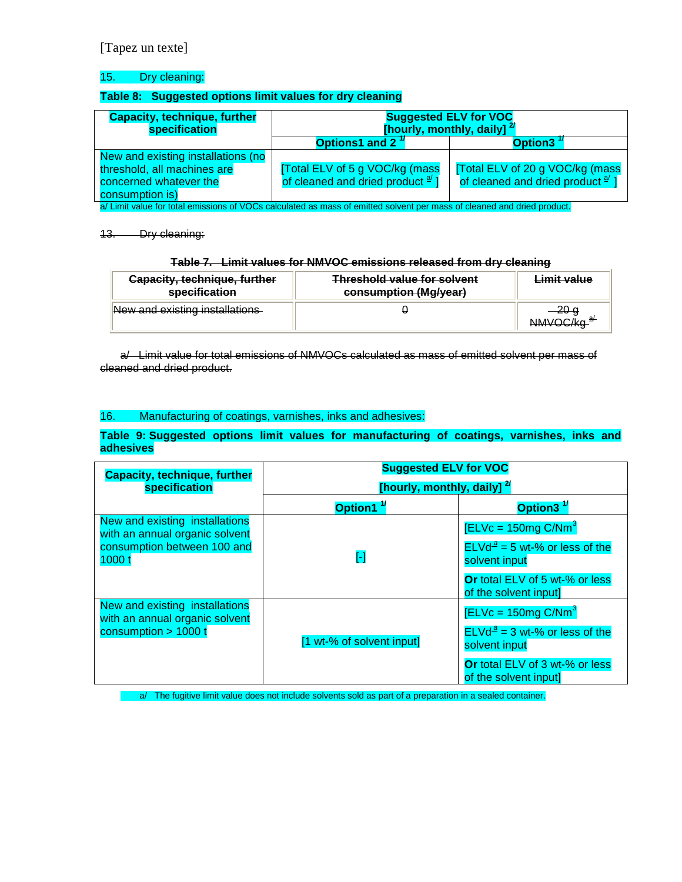#### 15. Dry cleaning:

# **Table 8: Suggested options limit values for dry cleaning**

| <b>Capacity, technique, further</b><br>specification                                                                    | <b>Suggested ELV for VOC</b><br>[hourly, monthly, daily] 2/ |                                                                   |  |  |
|-------------------------------------------------------------------------------------------------------------------------|-------------------------------------------------------------|-------------------------------------------------------------------|--|--|
|                                                                                                                         | Options1 and 2 <sup>"</sup>                                 | Option <sub>3</sub> <sup>1</sup>                                  |  |  |
| New and existing installations (no                                                                                      |                                                             |                                                                   |  |  |
| threshold, all machines are                                                                                             | Total ELV of 5 g VOC/kg (mass                               | [Total ELV of 20 g VOC/kg (mass                                   |  |  |
| concerned whatever the                                                                                                  | of cleaned and dried product $a$ <sup>d</sup>               | of cleaned and dried product $a$ <sup><math>\prime</math></sup> ] |  |  |
| consumption is)                                                                                                         |                                                             |                                                                   |  |  |
| a/ Limit value for total emissions of VOCs calculated as mass of emitted solvent per mass of cleaned and dried product. |                                                             |                                                                   |  |  |

13. Dry cleaning:

#### **Table 7. Limit values for NMVOC emissions released from dry cleaning**

| <b>Capacity, technique, further</b><br>specification | <b>Threshold value for solvent</b><br>consumption (Mg/year) | <del>Limit value</del> |
|------------------------------------------------------|-------------------------------------------------------------|------------------------|
| New and existing installations                       |                                                             |                        |

a/ Limit value for total emissions of NMVOCs calculated as mass of emitted solvent per mass of cleaned and dried product.

## 16. Manufacturing of coatings, varnishes, inks and adhesives:

**Table 9: Suggested options limit values for manufacturing of coatings, varnishes, inks and adhesives** 

| <b>Capacity, technique, further</b><br>specification                                                      | <b>Suggested ELV for VOC</b><br>[hourly, monthly, daily] $^{27}$ |                                                                                                                                        |
|-----------------------------------------------------------------------------------------------------------|------------------------------------------------------------------|----------------------------------------------------------------------------------------------------------------------------------------|
|                                                                                                           | Option1 <sup>1/</sup>                                            | Option3 <sup>1/</sup>                                                                                                                  |
| New and existing installations<br>with an annual organic solvent<br>consumption between 100 and<br>1000 t |                                                                  | $[ELVc = 150mg C/Nm3]$<br>$ELVd^2 = 5$ wt-% or less of the<br>solvent input<br>Or total ELV of 5 wt-% or less<br>of the solvent input] |
| New and existing installations<br>with an annual organic solvent<br>consumption $> 1000$ t                | [1 wt-% of solvent input]                                        | $[ELVc = 150mg C/Nm3]$<br>$ELVda = 3 wt-% or less of the$<br>solvent input<br>Or total ELV of 3 wt-% or less<br>of the solvent input]  |

a/ The fugitive limit value does not include solvents sold as part of a preparation in a sealed container.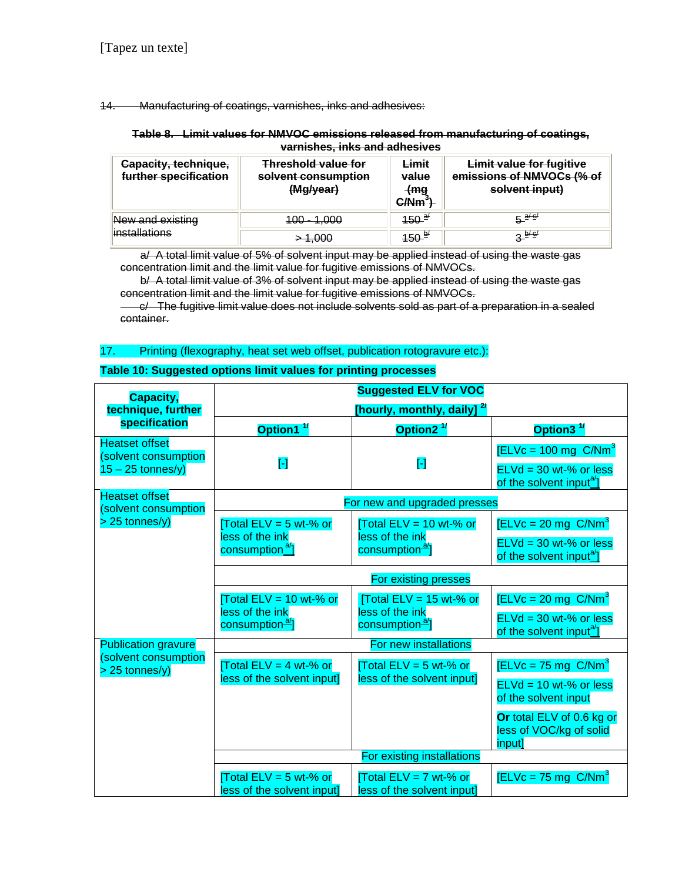14. Manufacturing of coatings, varnishes, inks and adhesives:

**Table 8. Limit values for NMVOC emissions released from manufacturing of coatings, varnishes, inks and adhesives**

| <b>Capacity, technique,</b><br>further specification | Threshold value for<br>solvent consumption<br>(Mg/year) | Limit<br>value<br>(ma<br>CMm <sup>3</sup> | Limit value for fugitive<br>emissions of NMVOCs (% of<br>solvent input) |
|------------------------------------------------------|---------------------------------------------------------|-------------------------------------------|-------------------------------------------------------------------------|
| New and existing                                     | דטט<br>T.vvv                                            | 150. <sup>a⁄</sup>                        | <del>⊿ ⊌ ק</del>                                                        |
| installations                                        |                                                         | 150- <sup>⊌∕</sup>                        | י <u>⊌ /ס</u>                                                           |

a/ A total limit value of 5% of solvent input may be applied instead of using the waste gas concentration limit and the limit value for fugitive emissions of NMVOCs.

b/ A total limit value of 3% of solvent input may be applied instead of using the waste gas concentration limit and the limit value for fugitive emissions of NMVOCs.

c/ The fugitive limit value does not include solvents sold as part of a preparation in a sealed container.

## 17. Printing (flexography, heat set web offset, publication rotogravure etc.):

## **Table 10: Suggested options limit values for printing processes**

| <b>Capacity,</b>                              |                                                      | <b>Suggested ELV for VOC</b>                           |                                                                  |  |
|-----------------------------------------------|------------------------------------------------------|--------------------------------------------------------|------------------------------------------------------------------|--|
| technique, further                            |                                                      | [hourly, monthly, daily] <sup>2/</sup>                 |                                                                  |  |
| specification                                 | Option1 <sup>1/</sup>                                | Option2 <sup>1/</sup>                                  | Option3 <sup>1/</sup>                                            |  |
| <b>Heatset offset</b>                         |                                                      |                                                        | $[ELVc = 100 mg C/Nm3]$                                          |  |
| (solvent consumption<br>$15 - 25$ tonnes/y)   | $\overline{[\cdot]}$                                 | $\mathbf{F}$                                           | $ELVd = 30 wt-% or less$<br>of the solvent input <sup>a'</sup> ] |  |
| <b>Heatset offset</b><br>(solvent consumption |                                                      | For new and upgraded presses                           |                                                                  |  |
| $>$ 25 tonnes/y)                              | [Total ELV = $5$ wt-% or                             | [Total ELV = 10 wt-% or                                | $[ELVc = 20 mg C/Nm3]$                                           |  |
|                                               | less of the ink<br>consumption <sup>2'</sup>         | less of the ink<br>consumption <sup>a/</sup> ]         | $ELVd = 30 wt-S$ or less<br>of the solvent input <sup>a'</sup> ] |  |
|                                               | For existing presses                                 |                                                        |                                                                  |  |
|                                               | [Total ELV = 10 wt-% or                              | [Total ELV = 15 wt-% or                                | $[ELVc = 20 mg C/Nm3]$                                           |  |
|                                               | less of the ink<br>consumption <sup>a/</sup> ]       | less of the ink<br>consumption <sup>a/</sup> ]         | $ELVd = 30 wt-S$ or less<br>of the solvent input <sup>a'</sup> ] |  |
| <b>Publication gravure</b>                    |                                                      | For new installations                                  |                                                                  |  |
| (solvent consumption<br>$>$ 25 tonnes/y)      | [Total ELV = 4 wt-% or                               | [Total ELV = $5$ wt-% or                               | $[ELVc = 75 mg C/Nm3]$                                           |  |
|                                               | less of the solvent input]                           | less of the solvent input]                             | $ELVd = 10 wt-S$ or less<br>of the solvent input                 |  |
|                                               |                                                      |                                                        | Or total ELV of 0.6 kg or<br>less of VOC/kg of solid<br>input]   |  |
|                                               |                                                      | For existing installations                             |                                                                  |  |
|                                               | [Total ELV = 5 wt-% or<br>less of the solvent input] | [Total ELV = $7$ wt-% or<br>less of the solvent input] | $[ELVc = 75 mg C/Nm3]$                                           |  |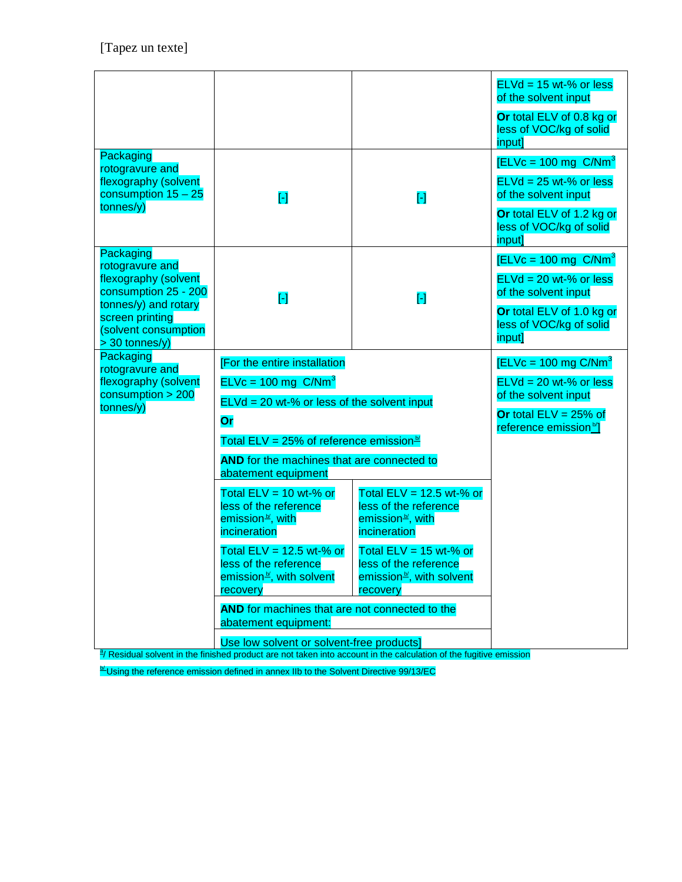|                                                                                                                                                                     |                                                                                                                                                                                                                                          |                                                                                                                                                                                                                | $ELVd = 15 wt-S$ or less<br>of the solvent input<br><b>Or</b> total ELV of 0.8 kg or<br>less of VOC/kg of solid<br>input]                     |
|---------------------------------------------------------------------------------------------------------------------------------------------------------------------|------------------------------------------------------------------------------------------------------------------------------------------------------------------------------------------------------------------------------------------|----------------------------------------------------------------------------------------------------------------------------------------------------------------------------------------------------------------|-----------------------------------------------------------------------------------------------------------------------------------------------|
| Packaging<br>rotogravure and<br>flexography (solvent<br>consumption 15 - 25<br>tonnes/y)                                                                            | $\mathbf{H}$                                                                                                                                                                                                                             | $\boxdot$                                                                                                                                                                                                      | [ELVc = 100 mg $C/Nm3$<br>$ELVd = 25 wt-S$ or less<br>of the solvent input<br>Or total ELV of 1.2 kg or<br>less of VOC/kg of solid<br>input]  |
| Packaging<br>rotogravure and<br>flexography (solvent<br>consumption 25 - 200<br>tonnes/y) and rotary<br>screen printing<br>(solvent consumption<br>$>$ 30 tonnes/y) | $\mathbf{H}$                                                                                                                                                                                                                             | H                                                                                                                                                                                                              | $[ELVc = 100 mg C/Nm3]$<br>$ELVd = 20 wt-S$ or less<br>of the solvent input<br>Or total ELV of 1.0 kg or<br>less of VOC/kg of solid<br>input] |
| Packaging<br>rotogravure and<br>flexography (solvent<br>consumption > 200<br>tonnes/y)                                                                              | [For the entire installation<br>$ELVc = 100 mg C/Nm3$<br>$ELVd = 20$ wt-% or less of the solvent input<br>Or<br>Total ELV = 25% of reference emission $\frac{1}{2}$<br>AND for the machines that are connected to<br>abatement equipment |                                                                                                                                                                                                                | $[ELVc = 100 mg C/Nm3]$<br>$ELVd = 20 wt-S$ or less<br>of the solvent input<br>Or total $ELV = 25%$ of<br>reference emission <sup>b/</sup> ]  |
|                                                                                                                                                                     | Total $ELV = 10$ wt-% or<br>less of the reference<br>emission <sup>b'</sup> , with<br>incineration<br>Total $ELV = 12.5$ wt-% or<br>less of the reference<br>emission <sup>b'</sup> , with solvent<br>recovery                           | Total $ELV = 12.5$ wt-% or<br>less of the reference<br>emission <sup>b/</sup> , with<br>incineration<br>Total $ELV = 15$ wt-% or<br>less of the reference<br>emission <sup>b'</sup> , with solvent<br>recovery |                                                                                                                                               |
|                                                                                                                                                                     | AND for machines that are not connected to the<br>abatement equipment:<br>Use low solvent or solvent-free products]                                                                                                                      | <sup>a</sup> / Residual solvent in the finished product are not taken into account in the calculation of the fugitive emission                                                                                 |                                                                                                                                               |

**D'Using the reference emission defined in annex IIb to the Solvent Directive 99/13/EC**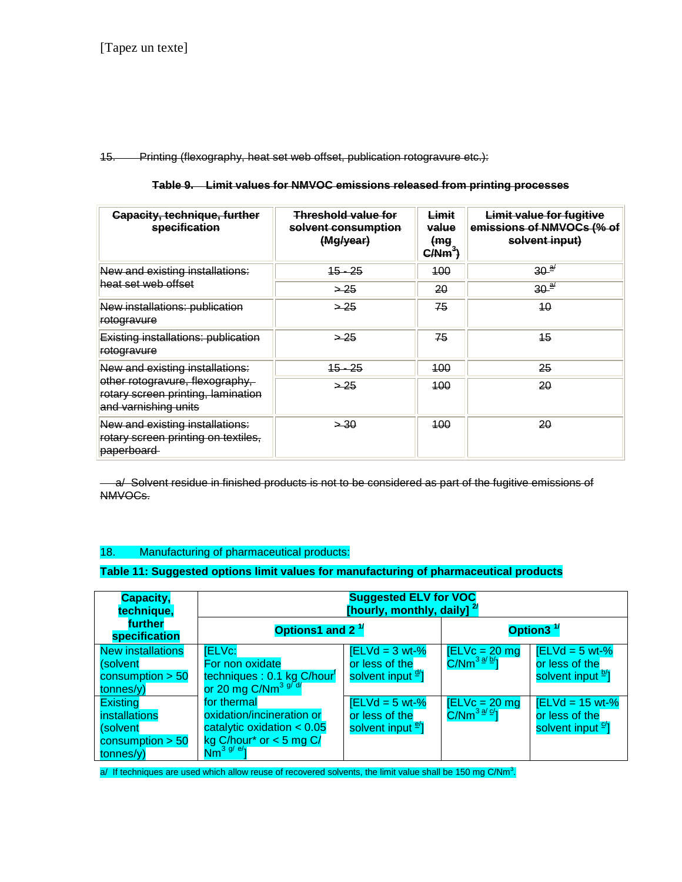15. Printing (flexography, heat set web offset, publication rotogravure etc.):

| <b>Capacity, technique, further</b><br>specification                                          | Threshold value for<br>solvent consumption<br>(Mg/year) | Limit<br>value<br>(mg)<br>$C/Nm^3$ | Limit value for fugitive<br>emissions of NMVOCs (% of<br>solvent input) |
|-----------------------------------------------------------------------------------------------|---------------------------------------------------------|------------------------------------|-------------------------------------------------------------------------|
| New and existing installations:                                                               | $15 - 25$                                               | 400                                | 30 <sup>2</sup>                                                         |
| heat set web offset                                                                           | > 25                                                    | 20                                 | 30 <sup>2</sup>                                                         |
| New installations: publication<br>  <del>rotogravure</del>                                    | 25                                                      | 75                                 | 10                                                                      |
| Existing installations: publication<br>rotogravure                                            | 25                                                      | 75                                 | 15                                                                      |
| New and existing installations:                                                               | $15 - 25$                                               | 400                                | 25                                                                      |
| other rotogravure, flexography,<br>rotary screen printing, lamination<br>and varnishing units | > 25                                                    | 400                                | 20                                                                      |
| New and existing installations:<br>rotary screen printing on textiles,<br>paperboard          | $\rightarrow 30$                                        | 400                                | 20                                                                      |

**Table 9. Limit values for NMVOC emissions released from printing processes**

a/ Solvent residue in finished products is not to be considered as part of the fugitive emissions of NMVOCs.

# 18. Manufacturing of pharmaceutical products:

# **Table 11: Suggested options limit values for manufacturing of pharmaceutical products**

| <b>Capacity,</b><br>technique, | <b>Suggested ELV for VOC</b><br>[hourly, monthly, daily]                    |                               |                                   |                               |
|--------------------------------|-----------------------------------------------------------------------------|-------------------------------|-----------------------------------|-------------------------------|
| further<br>specification       | Options1 and 2 <sup>1/</sup>                                                |                               | Option3 <sup>1/</sup>             |                               |
| <b>New installations</b>       | <b>ELVc:</b>                                                                | $[ELVd = 3 wt-%$              | $[ELVc = 20 mg]$                  | $[ELVd = 5 wt-%$              |
| (solvent                       | For non oxidate                                                             | or less of the                | $C/Nm^{3a/b}$                     | or less of the                |
| consumption > 50               | techniques : 0.1 kg C/hour <sup>t</sup><br>or 20 mg C/Nm <sup>3 g/ d/</sup> | solvent input $\frac{d}{ }$ ] |                                   | solvent input <sup>p'</sup> ] |
| tonnes/y)                      |                                                                             |                               |                                   |                               |
| <b>Existing</b>                | for thermal                                                                 | $[ELVd = 5 wt-%$              | $[ELVc = 20 mgC/Nm^3 \frac{a}{2}$ | $[ELVd = 15 wt-%$             |
| <b>installations</b>           | oxidation/incineration or                                                   | or less of the                |                                   | or less of the                |
| (solvent                       | catalytic oxidation $< 0.05$                                                | solvent input <sup>e/</sup> ] |                                   | solvent input <sup>c'</sup> ] |
| consumption > 50               | kg C/hour* or < 5 mg C/<br>Nm <sup>3 g/ e/</sup> l                          |                               |                                   |                               |
| tonnes(y)                      |                                                                             |                               |                                   |                               |

a/ If techniques are used which allow reuse of recovered solvents, the limit value shall be 150 mg C/Nm<sup>3</sup>.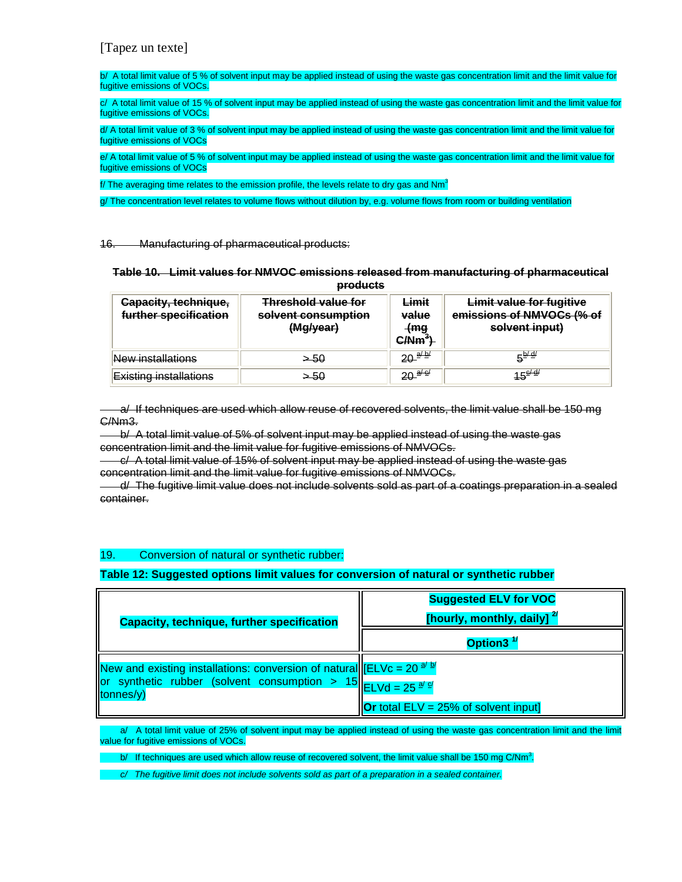b/ A total limit value of 5 % of solvent input may be applied instead of using the waste gas concentration limit and the limit value for fugitive emissions of VOCs.

c/ A total limit value of 15 % of solvent input may be applied instead of using the waste gas concentration limit and the limit value for fugitive emissions of VOCs.

d/ A total limit value of 3 % of solvent input may be applied instead of using the waste gas concentration limit and the limit value for fugitive emissions of VOCs

e/ A total limit value of 5 % of solvent input may be applied instead of using the waste gas concentration limit and the limit value for fugitive emissions of VOCs

f/ The averaging time relates to the emission profile, the levels relate to dry gas and Nm<sup>3</sup>

g/ The concentration level relates to volume flows without dilution by, e.g. volume flows from room or building ventilation

16. Manufacturing of pharmaceutical products:

#### **Table 10. Limit values for NMVOC emissions released from manufacturing of pharmaceutical products**

| <b>Capacity, technique,</b><br>further specification | <b>Threshold value for</b><br>solvent consumption<br>(Mg/year) | Limit<br>value<br>(ma<br>C/Nm <sup>*</sup> | Limit value for fugitive<br>emissions of NMVOCs (% of<br>solvent input) |
|------------------------------------------------------|----------------------------------------------------------------|--------------------------------------------|-------------------------------------------------------------------------|
| New installations                                    | ≻50                                                            | $20^{\frac{a/b}{}}$                        | $5^{\frac{b}{d}}$                                                       |
| <b>Existing installations</b>                        | > 50                                                           | $20^{\frac{a}{c}}$                         | <del>15<sup>c/ d/</sup></del>                                           |

a/ If techniques are used which allow reuse of recovered solvents, the limit value shall be 150 mg C/Nm3.

 b/ A total limit value of 5% of solvent input may be applied instead of using the waste gas concentration limit and the limit value for fugitive emissions of NMVOCs.

 c/ A total limit value of 15% of solvent input may be applied instead of using the waste gas concentration limit and the limit value for fugitive emissions of NMVOCs.

 d/ The fugitive limit value does not include solvents sold as part of a coatings preparation in a sealed container.

#### 19. Conversion of natural or synthetic rubber:

#### **Table 12: Suggested options limit values for conversion of natural or synthetic rubber**

| <b>Capacity, technique, further specification</b>                                                                 | <b>Suggested ELV for VOC</b><br>[hourly, monthly, daily] <sup>2/</sup> |  |
|-------------------------------------------------------------------------------------------------------------------|------------------------------------------------------------------------|--|
|                                                                                                                   | Option3 <sup>1/</sup>                                                  |  |
| <u>  New and existing installations: conversion of natural  ELVc = 20<sup>a/b/</sup></u>                          |                                                                        |  |
| $\frac{1}{\log 2}$ synthetic rubber (solvent consumption > 15 $\left\vert$ ELVd = 25 <sup>2/2/</sup><br>tonnes/y) |                                                                        |  |
|                                                                                                                   | $ $ Or total ELV = 25% of solvent input]                               |  |

 a/ A total limit value of 25% of solvent input may be applied instead of using the waste gas concentration limit and the limit value for fugitive emissions of VOCs.

b/ If techniques are used which allow reuse of recovered solvent, the limit value shall be 150 mg C/Nm<sup>3</sup>.

c/ The fugitive limit does not include solvents sold as part of a preparation in a sealed container.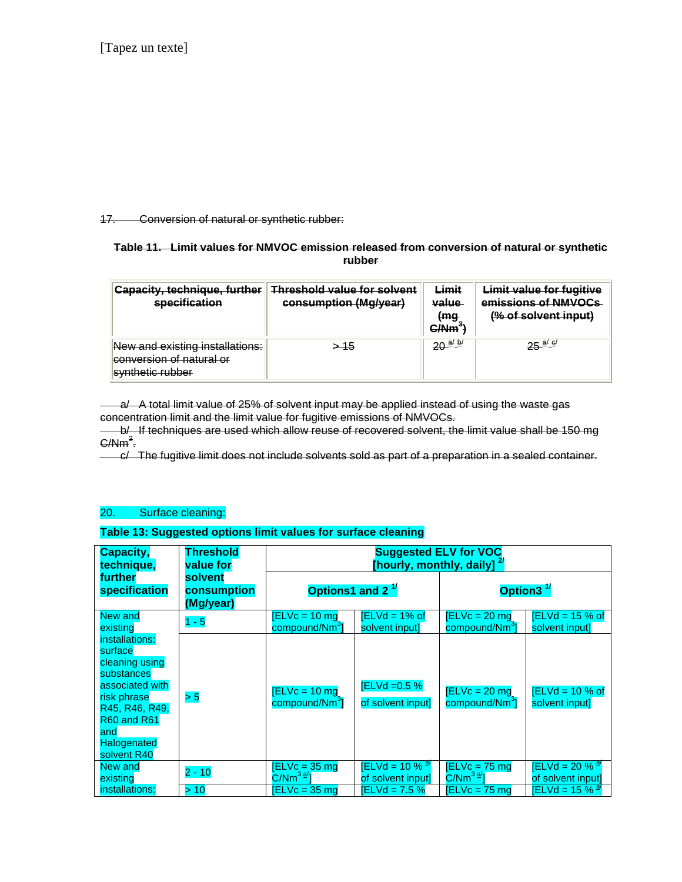17. Conversion of natural or synthetic rubber:

**Table 11. Limit values for NMVOC emission released from conversion of natural or synthetic rubber**

| Capacity, technique, further<br>specification                                   | <b>Threshold value for solvent</b><br>consumption (Mg/year) | Limit<br><u>value</u><br>(ma<br>C/Nm | Limit value for fugitive<br>emissions of NMVOCs<br>(% of solvent input) |
|---------------------------------------------------------------------------------|-------------------------------------------------------------|--------------------------------------|-------------------------------------------------------------------------|
| New and existing installations:<br>conversion of natural or<br>synthetic rubber | → 15                                                        | $20^{a/b}$                           | 25.ª ∉                                                                  |

a/ A total limit value of 25% of solvent input may be applied instead of using the waste gas concentration limit and the limit value for fugitive emissions of NMVOCs.

 b/ If techniques are used which allow reuse of recovered solvent, the limit value shall be 150 mg  $C/Nm^3$ .

c/ The fugitive limit does not include solvents sold as part of a preparation in a sealed container.

#### 20. Surface cleaning:

### **Table 13: Suggested options limit values for surface cleaning**

| <b>Capacity,</b>                                                                                                                                                                | <b>Threshold</b>                    | <b>Suggested ELV for VOC</b>                   |                                       |                                                |                                     |
|---------------------------------------------------------------------------------------------------------------------------------------------------------------------------------|-------------------------------------|------------------------------------------------|---------------------------------------|------------------------------------------------|-------------------------------------|
| technique,                                                                                                                                                                      | value for                           | [hourly, monthly, daily] <sup>2</sup>          |                                       |                                                |                                     |
| further<br>specification                                                                                                                                                        | solvent<br>consumption<br>(Mg/year) | Options1 and 2 <sup>1/</sup>                   |                                       |                                                | Option3 <sup>1</sup>                |
| New and                                                                                                                                                                         | $1 - 5$                             | $[ELVc = 10 mg]$                               | $ELVd = 1%$ of                        | $[ELVc = 20$ mg                                | $[ELVd = 15 % of$                   |
| existing                                                                                                                                                                        |                                     | compound/Nm <sup>3</sup> ]                     | solvent input]                        | compound/Nm <sup>3</sup> ]                     | solvent input]                      |
| installations:<br>surface<br>cleaning using<br>substances<br>associated with<br>risk phrase<br>R45, R46, R49,<br><b>R60 and R61</b><br>and<br><b>Halogenated</b><br>solvent R40 | > 5                                 | $[ELVc = 10 mg]$<br>compound/Nm <sup>3</sup> ] | [ELVd = $0.5 \%$<br>of solvent input] | $[ELVc = 20 mg]$<br>compound/Nm <sup>3</sup> ] | $[ELVd = 10 % of$<br>solvent input] |
| New and                                                                                                                                                                         | $2 - 10$                            | $[ELVc = 35 mg]$                               | [ELVd = 10 % $\frac{a}{c}$ ]          | $[ELVc = 75 mg]$                               | [ELVd = 20 % $\frac{3}{4}$ ]        |
| existing                                                                                                                                                                        |                                     | $C/Nm^3$ <sup>a/</sup> l                       | of solvent input]                     | $C/Nm^3$ <sup>a/</sup> l                       | of solvent input]                   |
| installations:                                                                                                                                                                  | >10                                 | $[ELVc = 35 mg]$                               | $ELVd = 7.5%$                         | $[ELVc = 75 mg]$                               | [ELVd = 15 % $\frac{a}{2}$ ]        |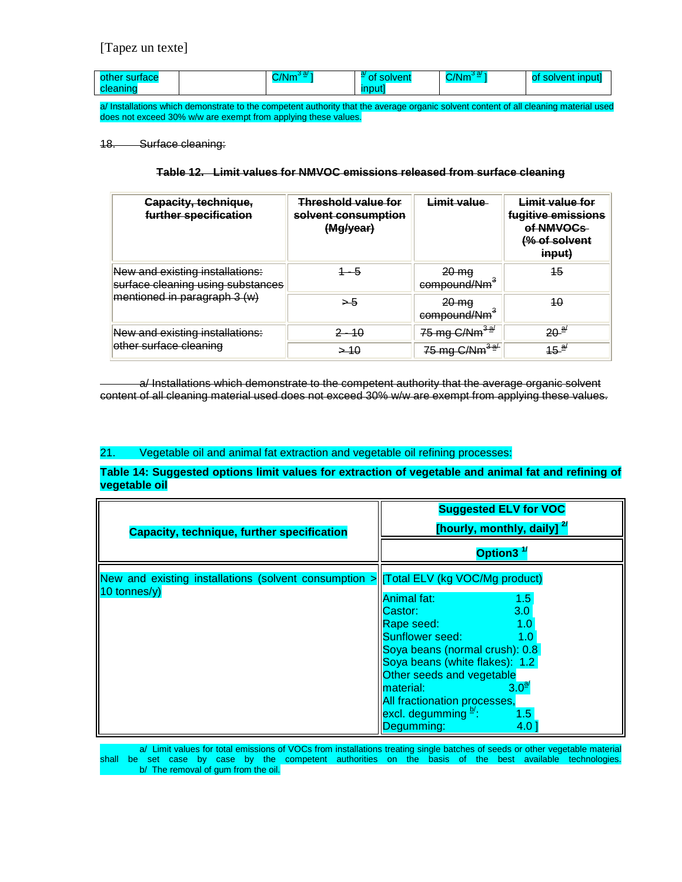| tace<br><b>othe</b><br>71 I | a/<br>18.LI<br>лш | a<br><b>SIMPLE</b><br>н<br>,,,,<br>י<br>u. | <b>CONTRACTOR</b><br><b>MNILL</b> | -inb<br>0W<br>епс<br>u |
|-----------------------------|-------------------|--------------------------------------------|-----------------------------------|------------------------|
| clea                        |                   | וומו<br>$\mathbf{m}$                       |                                   |                        |

a/ Installations which demonstrate to the competent authority that the average organic solvent content of all cleaning material used does not exceed 30% w/w are exempt from applying these values.

#### 18. Surface cleaning:

#### **Table 12. Limit values for NMVOC emissions released from surface cleaning**

| Capacity, technique,<br>further specification                        | <b>Threshold value for</b><br>solvent consumption<br>(Mg/year) | Limit value                                 | Limit value for<br>fugitive emissions<br>of NMVOCs<br><del>(% of solvent</del><br>input) |
|----------------------------------------------------------------------|----------------------------------------------------------------|---------------------------------------------|------------------------------------------------------------------------------------------|
| New and existing installations:<br>surface cleaning using substances | 1-5                                                            | 20 ma<br>compound/Nm                        | 15                                                                                       |
| mentioned in paragraph 3 (w)                                         | $\rightarrow 5$                                                | $20 \text{ mg}$<br>compound/Nm <sup>3</sup> | 40                                                                                       |
| New and existing installations:                                      | $2 - 10$                                                       | 75 mg C/Nm $\frac{3\,\overline{a}}{b}$      | $20^{\frac{a}{2}}$                                                                       |
| other surface cleaning                                               | 40 -                                                           | 75 mg C/Nm $\frac{3a}{4}$                   | 15.ª ∕                                                                                   |

a/ Installations which demonstrate to the competent authority that the average organic solvent content of all cleaning material used does not exceed 30% w/w are exempt from applying these values.

#### 21. Vegetable oil and animal fat extraction and vegetable oil refining processes:

**Table 14: Suggested options limit values for extraction of vegetable and animal fat and refining of vegetable oil** 

|                                                                                                         | <b>Suggested ELV for VOC</b>                                                                                                                                                                                                          |  |
|---------------------------------------------------------------------------------------------------------|---------------------------------------------------------------------------------------------------------------------------------------------------------------------------------------------------------------------------------------|--|
| <b>Capacity, technique, further specification</b>                                                       | [hourly, monthly, daily] <sup>2/</sup>                                                                                                                                                                                                |  |
|                                                                                                         | Option3 <sup>1/</sup>                                                                                                                                                                                                                 |  |
| New and existing installations (solvent consumption >  [Total ELV (kg VOC/Mg product)<br>$10$ tonnes/y) | Animal fat:<br>1.5<br>3.0<br>Castor:<br>Rape seed:<br>1.0<br>Sunflower seed:<br>1.0                                                                                                                                                   |  |
|                                                                                                         | Soya beans (normal crush): 0.8<br>Soya beans (white flakes): 1.2<br>Other seeds and vegetable<br>3.0 <sup>4</sup><br>lmaterial:<br><b>All fractionation processes,</b><br>excl. degumming $\frac{D}{2}$ :<br>1.5<br>Degumming:<br>4.0 |  |

 a/ Limit values for total emissions of VOCs from installations treating single batches of seeds or other vegetable material shall be set case by case by the competent authorities on the basis of the best available technologies. **b** The removal of gum from the oil.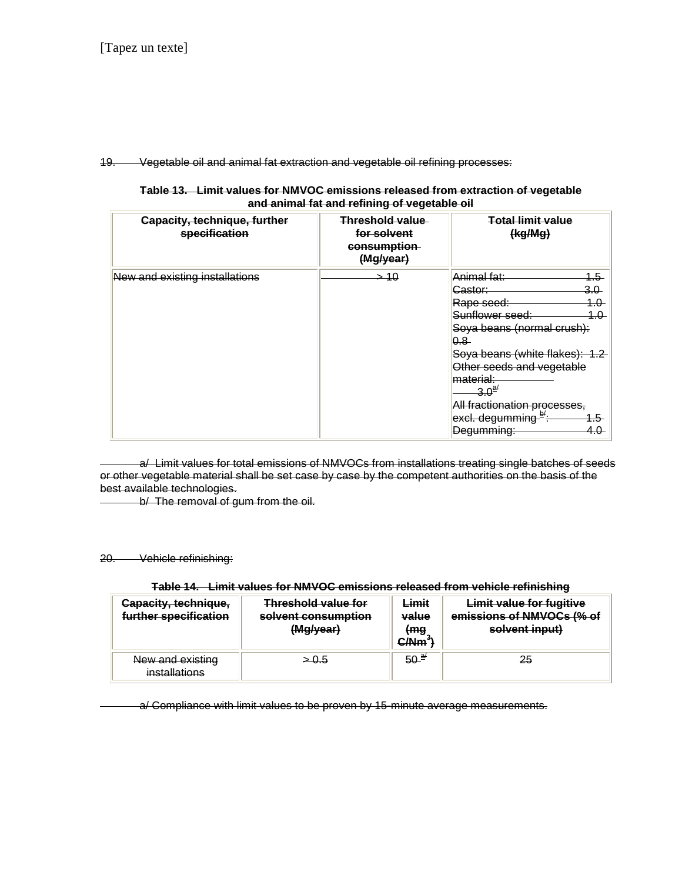#### 19. Vegetable oil and animal fat extraction and vegetable oil refining processes:

| Table 13. Limit values for NMVOC emissions released from extraction of vegetable |
|----------------------------------------------------------------------------------|
|                                                                                  |
| and animal fat and refining of vegetable oil                                     |

| <b>Capacity, technique, further</b><br>specification | Threshold value<br>for solvent<br>consumption<br>(Mg/year) | <b>Total limit value</b><br>(kg/Mg)                                                                                                                                                                                                                                                                                                                   |
|------------------------------------------------------|------------------------------------------------------------|-------------------------------------------------------------------------------------------------------------------------------------------------------------------------------------------------------------------------------------------------------------------------------------------------------------------------------------------------------|
| New and existing installations                       | 40                                                         | Animal fat:<br><del>1.5</del><br>3.0<br>Castor:<br>Rape seed:<br>г. U<br>Sunflower seed:<br>1.0<br>Soya beans (normal crush):<br>$0.8 -$<br>Soya beans (white flakes):<br><u>1.2-</u><br>Other seeds and vegetable<br>material:<br>$3.0^{\mathrm{a}}$<br>All fractionation processes,<br>lexcl. degumming <sup>b/</sup> :<br>1.5<br>Degumming:<br>4.0 |

a/ Limit values for total emissions of NMVOCs from installations treating single batches of seeds or other vegetable material shall be set case by case by the competent authorities on the basis of the best available technologies.

b/ The removal of gum from the oil.

20. Vehicle refinishing:

#### **Table 14. Limit values for NMVOC emissions released from vehicle refinishing**

| Capacity, technique,<br>further specification | <b>Threshold value for</b><br>solvent consumption<br>(Mg/year) | Limit<br>value<br><del>(ma</del><br>C/Nm <sup>*</sup> | Limit value for fugitive<br>emissions of NMVOCs (% of<br>solvent input) |
|-----------------------------------------------|----------------------------------------------------------------|-------------------------------------------------------|-------------------------------------------------------------------------|
| New and existing<br><i>installations</i>      | > 0.5                                                          | 50 <sup>2</sup>                                       | 25                                                                      |

a/ Compliance with limit values to be proven by 15-minute average measurements.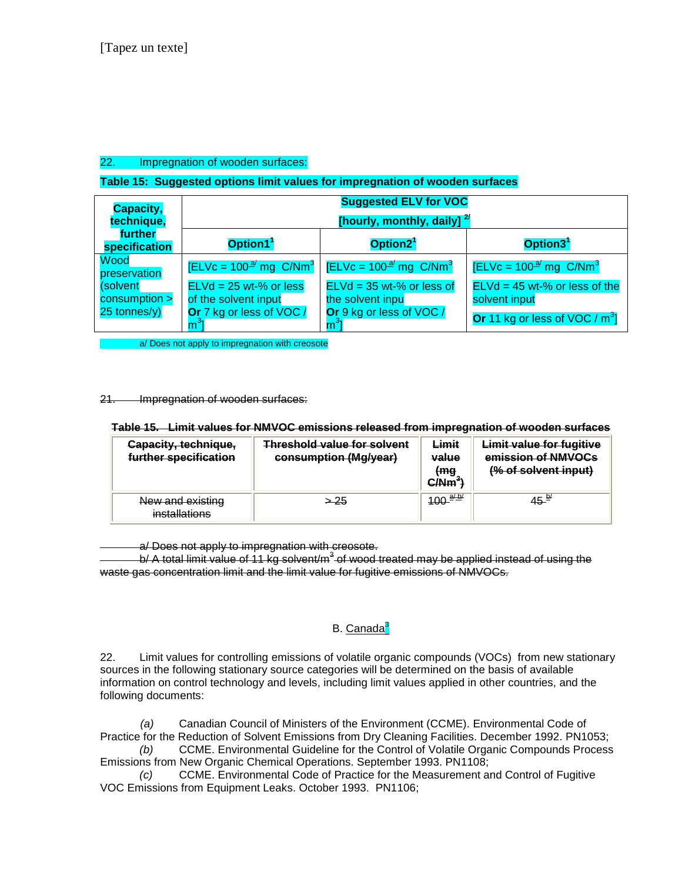# 22. Impregnation of wooden surfaces:

## **Table 15: Suggested options limit values for impregnation of wooden surfaces**

| <b>Capacity,</b>                | <b>Suggested ELV for VOC</b><br>[hourly, monthly, daily] <sup>2</sup> |                                                                   |                                                  |  |  |
|---------------------------------|-----------------------------------------------------------------------|-------------------------------------------------------------------|--------------------------------------------------|--|--|
| technique,                      |                                                                       |                                                                   |                                                  |  |  |
| <b>further</b><br>specification | Option1 <sup>1</sup>                                                  | Option2 <sup>1</sup>                                              | Option3 <sup>1</sup>                             |  |  |
| Wood<br>preservation            |                                                                       | $[ELVc = 100^{a/2}$ mg $C/Nm^3$   $[ELVc = 100^{a/2}$ mg $C/Nm^3$ | $[ELVc = 100a$ mg C/Nm <sup>3</sup>              |  |  |
| (solvent<br>consumption >       | $ELVd = 25 wt-S$ or less<br>of the solvent input                      | $ELVd = 35 wt-S$ or less of<br>the solvent inpu                   | $ELVd = 45 wt$ % or less of the<br>solvent input |  |  |
| 25 tonnes/y)                    | Or 7 kg or less of VOC /<br>$m^{3}$                                   | Or 9 kg or less of VOC /<br>$m^{3}$                               | Or 11 kg or less of VOC / $m^3$ ]                |  |  |

a/ Does not apply to impregnation with creosote

21. Impregnation of wooden surfaces:

#### **Table 15. Limit values for NMVOC emissions released from impregnation of wooden surfaces**

| Capacity, technique,<br>further specification | <b>Threshold value for solvent</b><br>consumption (Mg/year) | ∟imit<br>value<br>(mg<br><b>C/Nm<sup>*</sup></b> | Limit value for fugitive<br>emission of NMVOCs<br>(% of solvent input) |
|-----------------------------------------------|-------------------------------------------------------------|--------------------------------------------------|------------------------------------------------------------------------|
| New and existing<br><i>installations</i>      | -25                                                         | <u>100.ª<sup>/b/</sup></u>                       | $45^{\frac{b}{2}}$                                                     |

a/ Does not apply to impregnation with creosote.

b/ A total limit value of 11 kg solvent/m<sup>3</sup> of wood treated may be applied instead of using the waste gas concentration limit and the limit value for fugitive emissions of NMVOCs.

# B. Canada<sup>3</sup>

22. Limit values for controlling emissions of volatile organic compounds (VOCs) from new stationary sources in the following stationary source categories will be determined on the basis of available information on control technology and levels, including limit values applied in other countries, and the following documents:

(a) Canadian Council of Ministers of the Environment (CCME). Environmental Code of Practice for the Reduction of Solvent Emissions from Dry Cleaning Facilities. December 1992. PN1053; (b) CCME. Environmental Guideline for the Control of Volatile Organic Compounds Process

Emissions from New Organic Chemical Operations. September 1993. PN1108;

 (c) CCME. Environmental Code of Practice for the Measurement and Control of Fugitive VOC Emissions from Equipment Leaks. October 1993. PN1106;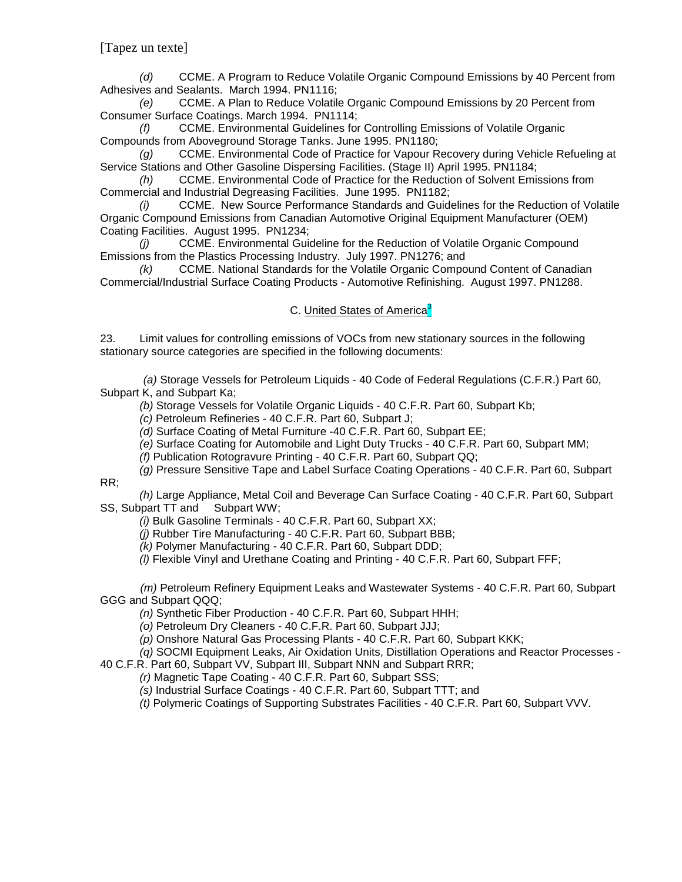(d) CCME. A Program to Reduce Volatile Organic Compound Emissions by 40 Percent from Adhesives and Sealants. March 1994. PN1116;

 (e) CCME. A Plan to Reduce Volatile Organic Compound Emissions by 20 Percent from Consumer Surface Coatings. March 1994. PN1114;

 (f) CCME. Environmental Guidelines for Controlling Emissions of Volatile Organic Compounds from Aboveground Storage Tanks. June 1995. PN1180;

 (g) CCME. Environmental Code of Practice for Vapour Recovery during Vehicle Refueling at Service Stations and Other Gasoline Dispersing Facilities. (Stage II) April 1995. PN1184;

 (h) CCME. Environmental Code of Practice for the Reduction of Solvent Emissions from Commercial and Industrial Degreasing Facilities. June 1995. PN1182;

 (i) CCME. New Source Performance Standards and Guidelines for the Reduction of Volatile Organic Compound Emissions from Canadian Automotive Original Equipment Manufacturer (OEM) Coating Facilities. August 1995. PN1234;

 (j) CCME. Environmental Guideline for the Reduction of Volatile Organic Compound Emissions from the Plastics Processing Industry. July 1997. PN1276; and

 (k) CCME. National Standards for the Volatile Organic Compound Content of Canadian Commercial/Industrial Surface Coating Products - Automotive Refinishing. August 1997. PN1288.

# C. United States of America<sup>3</sup>

23. Limit values for controlling emissions of VOCs from new stationary sources in the following stationary source categories are specified in the following documents:

(a) Storage Vessels for Petroleum Liquids - 40 Code of Federal Regulations (C.F.R.) Part 60, Subpart K, and Subpart Ka;

(b) Storage Vessels for Volatile Organic Liquids - 40 C.F.R. Part 60, Subpart Kb;

(c) Petroleum Refineries - 40 C.F.R. Part 60, Subpart J;

(d) Surface Coating of Metal Furniture -40 C.F.R. Part 60, Subpart EE;

(e) Surface Coating for Automobile and Light Duty Trucks - 40 C.F.R. Part 60, Subpart MM;

(f) Publication Rotogravure Printing - 40 C.F.R. Part 60, Subpart QQ;

 (g) Pressure Sensitive Tape and Label Surface Coating Operations - 40 C.F.R. Part 60, Subpart RR;

 (h) Large Appliance, Metal Coil and Beverage Can Surface Coating - 40 C.F.R. Part 60, Subpart SS, Subpart TT and Subpart WW;

(i) Bulk Gasoline Terminals - 40 C.F.R. Part 60, Subpart XX;

(j) Rubber Tire Manufacturing - 40 C.F.R. Part 60, Subpart BBB;

(k) Polymer Manufacturing - 40 C.F.R. Part 60, Subpart DDD;

(I) Flexible Vinyl and Urethane Coating and Printing - 40 C.F.R. Part 60, Subpart FFF;

(m) Petroleum Refinery Equipment Leaks and Wastewater Systems - 40 C.F.R. Part 60, Subpart GGG and Subpart QQQ;

(n) Synthetic Fiber Production - 40 C.F.R. Part 60, Subpart HHH;

(o) Petroleum Dry Cleaners - 40 C.F.R. Part 60, Subpart JJJ;

(p) Onshore Natural Gas Processing Plants - 40 C.F.R. Part 60, Subpart KKK;

(q) SOCMI Equipment Leaks, Air Oxidation Units, Distillation Operations and Reactor Processes -

40 C.F.R. Part 60, Subpart VV, Subpart III, Subpart NNN and Subpart RRR;

(r) Magnetic Tape Coating - 40 C.F.R. Part 60, Subpart SSS;

(s) Industrial Surface Coatings - 40 C.F.R. Part 60, Subpart TTT; and

(t) Polymeric Coatings of Supporting Substrates Facilities - 40 C.F.R. Part 60, Subpart VVV.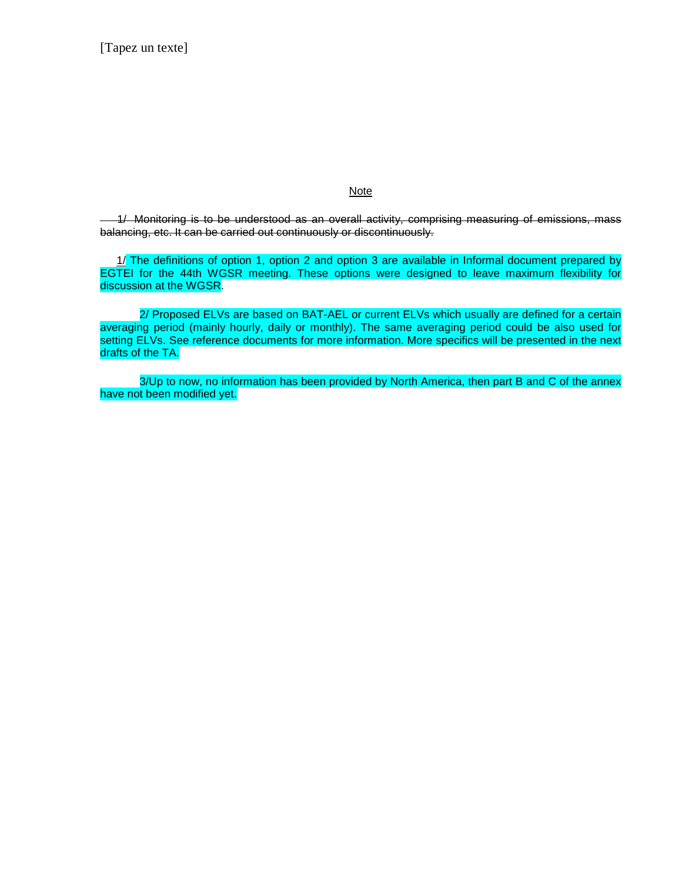1/ Monitoring is to be understood as an overall activity, comprising measuring of emissions, mass balancing, etc. It can be carried out continuously or discontinuously.

 1/ The definitions of option 1, option 2 and option 3 are available in Informal document prepared by EGTEI for the 44th WGSR meeting. These options were designed to leave maximum flexibility for discussion at the WGSR.

2/ Proposed ELVs are based on BAT-AEL or current ELVs which usually are defined for a certain averaging period (mainly hourly, daily or monthly). The same averaging period could be also used for setting ELVs. See reference documents for more information. More specifics will be presented in the next drafts of the TA.

3/Up to now, no information has been provided by North America, then part B and C of the annex have not been modified yet.

#### **Note**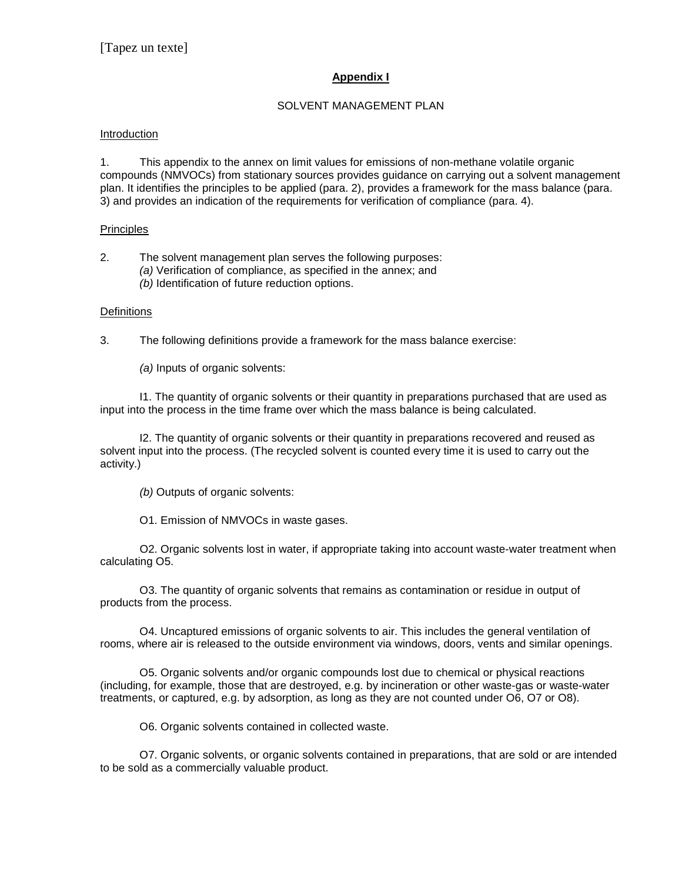# **Appendix I**

# SOLVENT MANAGEMENT PLAN

## **Introduction**

1. This appendix to the annex on limit values for emissions of non-methane volatile organic compounds (NMVOCs) from stationary sources provides guidance on carrying out a solvent management plan. It identifies the principles to be applied (para. 2), provides a framework for the mass balance (para. 3) and provides an indication of the requirements for verification of compliance (para. 4).

#### **Principles**

2. The solvent management plan serves the following purposes: (a) Verification of compliance, as specified in the annex; and (b) Identification of future reduction options.

#### **Definitions**

3. The following definitions provide a framework for the mass balance exercise:

(a) Inputs of organic solvents:

 I1. The quantity of organic solvents or their quantity in preparations purchased that are used as input into the process in the time frame over which the mass balance is being calculated.

 I2. The quantity of organic solvents or their quantity in preparations recovered and reused as solvent input into the process. (The recycled solvent is counted every time it is used to carry out the activity.)

(b) Outputs of organic solvents:

O1. Emission of NMVOCs in waste gases.

 O2. Organic solvents lost in water, if appropriate taking into account waste-water treatment when calculating O5.

 O3. The quantity of organic solvents that remains as contamination or residue in output of products from the process.

 O4. Uncaptured emissions of organic solvents to air. This includes the general ventilation of rooms, where air is released to the outside environment via windows, doors, vents and similar openings.

 O5. Organic solvents and/or organic compounds lost due to chemical or physical reactions (including, for example, those that are destroyed, e.g. by incineration or other waste-gas or waste-water treatments, or captured, e.g. by adsorption, as long as they are not counted under O6, O7 or O8).

O6. Organic solvents contained in collected waste.

 O7. Organic solvents, or organic solvents contained in preparations, that are sold or are intended to be sold as a commercially valuable product.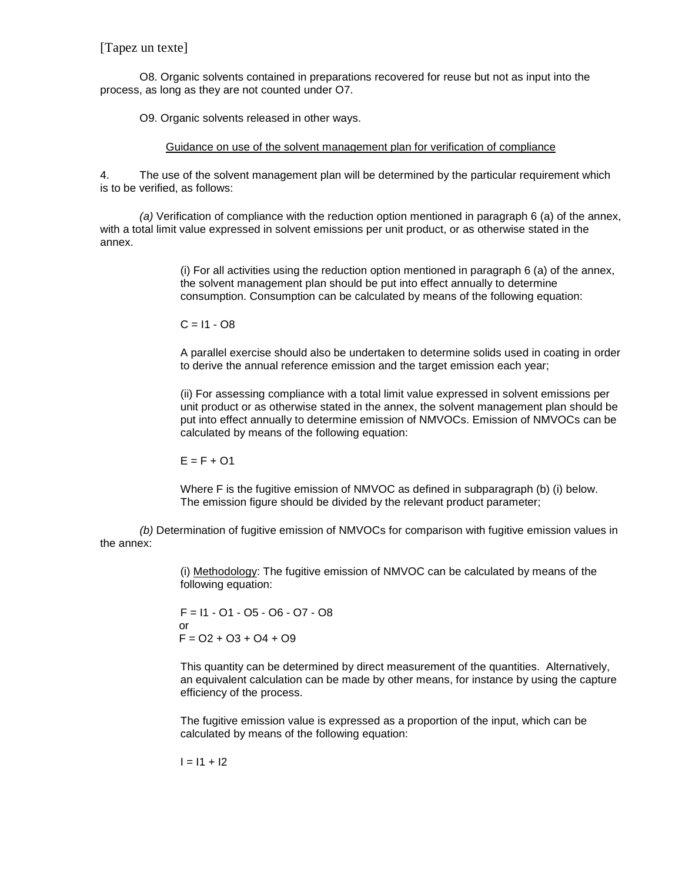O8. Organic solvents contained in preparations recovered for reuse but not as input into the process, as long as they are not counted under O7.

O9. Organic solvents released in other ways.

#### Guidance on use of the solvent management plan for verification of compliance

4. The use of the solvent management plan will be determined by the particular requirement which is to be verified, as follows:

 (a) Verification of compliance with the reduction option mentioned in paragraph 6 (a) of the annex, with a total limit value expressed in solvent emissions per unit product, or as otherwise stated in the annex.

> (i) For all activities using the reduction option mentioned in paragraph 6 (a) of the annex, the solvent management plan should be put into effect annually to determine consumption. Consumption can be calculated by means of the following equation:

 $C = 11 - 08$ 

A parallel exercise should also be undertaken to determine solids used in coating in order to derive the annual reference emission and the target emission each year;

(ii) For assessing compliance with a total limit value expressed in solvent emissions per unit product or as otherwise stated in the annex, the solvent management plan should be put into effect annually to determine emission of NMVOCs. Emission of NMVOCs can be calculated by means of the following equation:

 $E = F + O1$ 

Where F is the fugitive emission of NMVOC as defined in subparagraph (b) (i) below. The emission figure should be divided by the relevant product parameter;

 (b) Determination of fugitive emission of NMVOCs for comparison with fugitive emission values in the annex:

> (i) Methodology: The fugitive emission of NMVOC can be calculated by means of the following equation:

F = I1 - O1 - O5 - O6 - O7 - O8 or  $F = 02 + 03 + 04 + 09$ 

This quantity can be determined by direct measurement of the quantities. Alternatively, an equivalent calculation can be made by other means, for instance by using the capture efficiency of the process.

The fugitive emission value is expressed as a proportion of the input, which can be calculated by means of the following equation:

$$
I = I1 + I2
$$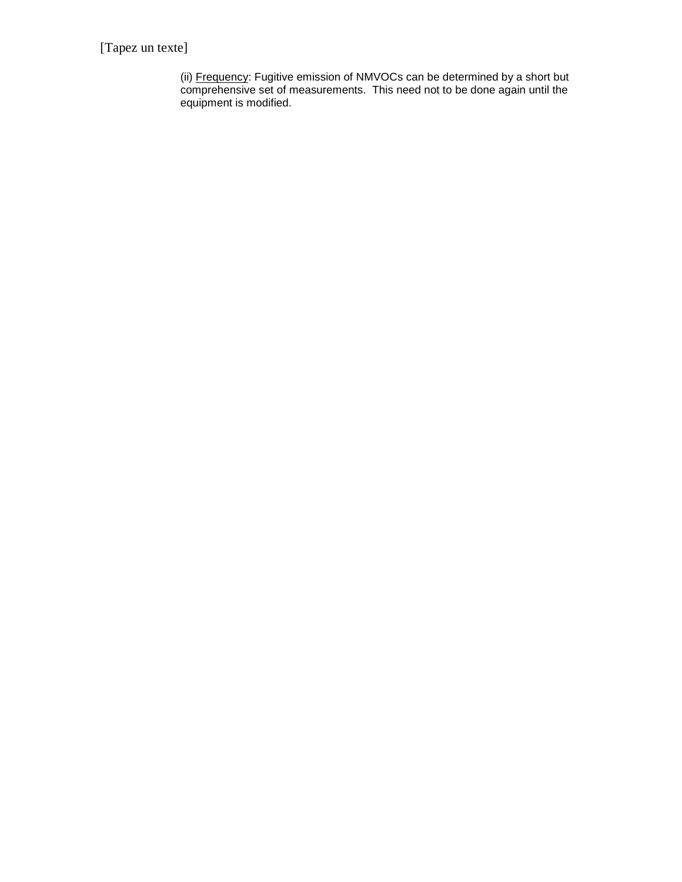(ii) Frequency: Fugitive emission of NMVOCs can be determined by a short but comprehensive set of measurements. This need not to be done again until the equipment is modified.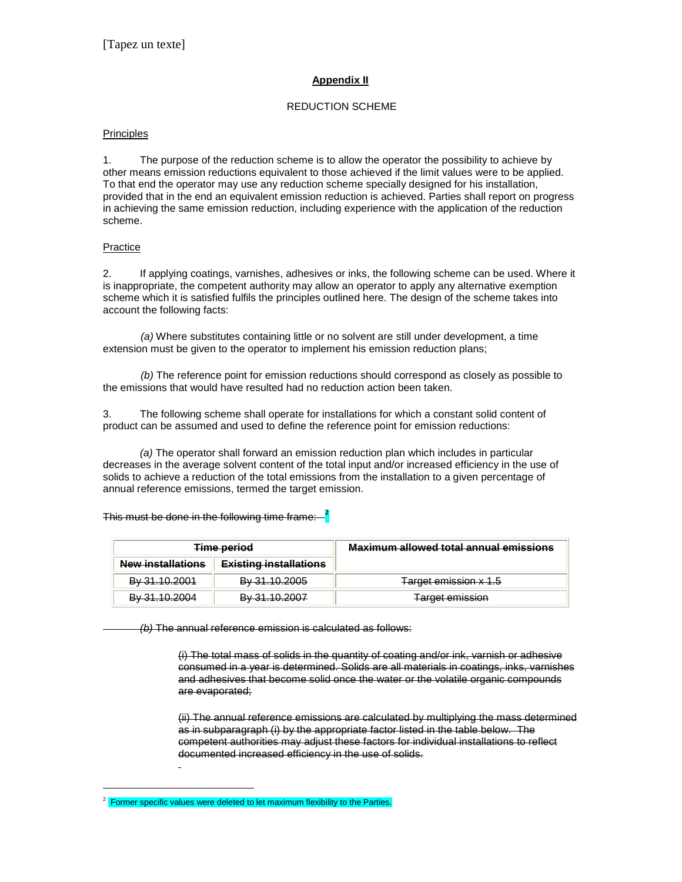## **Appendix II**

#### REDUCTION SCHEME

#### **Principles**

1. The purpose of the reduction scheme is to allow the operator the possibility to achieve by other means emission reductions equivalent to those achieved if the limit values were to be applied. To that end the operator may use any reduction scheme specially designed for his installation, provided that in the end an equivalent emission reduction is achieved. Parties shall report on progress in achieving the same emission reduction, including experience with the application of the reduction scheme.

#### Practice

-

2. If applying coatings, varnishes, adhesives or inks, the following scheme can be used. Where it is inappropriate, the competent authority may allow an operator to apply any alternative exemption scheme which it is satisfied fulfils the principles outlined here. The design of the scheme takes into account the following facts:

(a) Where substitutes containing little or no solvent are still under development, a time extension must be given to the operator to implement his emission reduction plans;

(b) The reference point for emission reductions should correspond as closely as possible to the emissions that would have resulted had no reduction action been taken.

3. The following scheme shall operate for installations for which a constant solid content of product can be assumed and used to define the reference point for emission reductions:

 (a) The operator shall forward an emission reduction plan which includes in particular decreases in the average solvent content of the total input and/or increased efficiency in the use of solids to achieve a reduction of the total emissions from the installation to a given percentage of annual reference emissions, termed the target emission.

#### This must be done in the following time frame: **<sup>2</sup>**

|                                               | <b>Time period</b>                        | <b>Maximum allowed total annual emissions</b>  |
|-----------------------------------------------|-------------------------------------------|------------------------------------------------|
| <b>New installations</b>                      | <b>Existing installations</b>             |                                                |
| By 31.10.2001                                 | By 31.10.2005                             | <b>Target emission x 1.5</b>                   |
| By 31 10 2004<br><del>,,,,,,,,,,,,,,,,,</del> | $R_{11}$ 31 10 2007<br><del>טטוט עט</del> | Target emiccion<br><del>ı argot ormssion</del> |

(b) The annual reference emission is calculated as follows:

(i) The total mass of solids in the quantity of coating and/or ink, varnish or adhesive consumed in a year is determined. Solids are all materials in coatings, inks, varnishes and adhesives that become solid once the water or the volatile organic compounds are evaporated;

(ii) The annual reference emissions are calculated by multiplying the mass determined as in subparagraph (i) by the appropriate factor listed in the table below. The competent authorities may adjust these factors for individual installations to reflect documented increased efficiency in the use of solids.

 $2$  Former specific values were deleted to let maximum flexibility to the Parties.